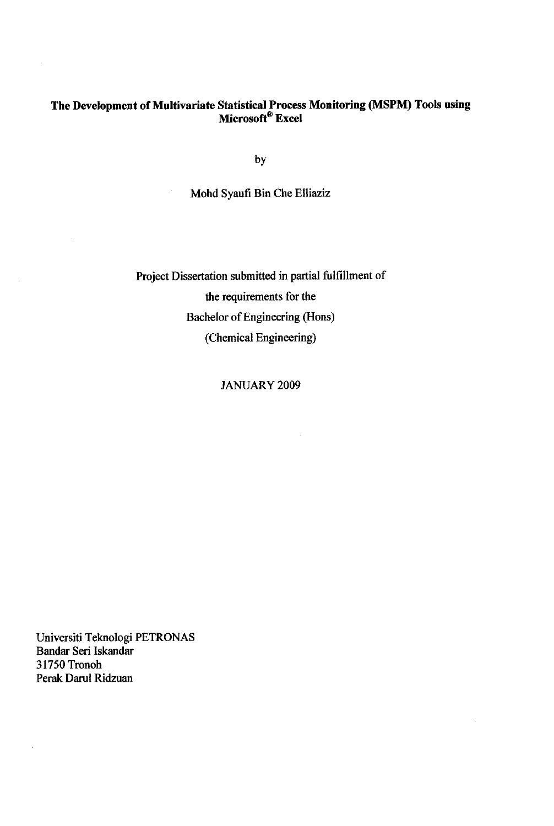#### *The Development ofMultivariate Statistical Process Monitoring (MSPM) Tools using Microsoft® Excel*

by

Mohd Syaufi Bin Che Elliaziz

Project Dissertation submitted in partial fulfillment of the requirements for the Bachelor of Engineering (Hons) (Chemical Engineering)

### JANUARY 2009

Universiti Teknologi PETRONAS Bandar Seri Iskandar 31750 Tronoh Perak Darul Ridzuan

 $\hat{\boldsymbol{\beta}}$ 

 $\bar{z}$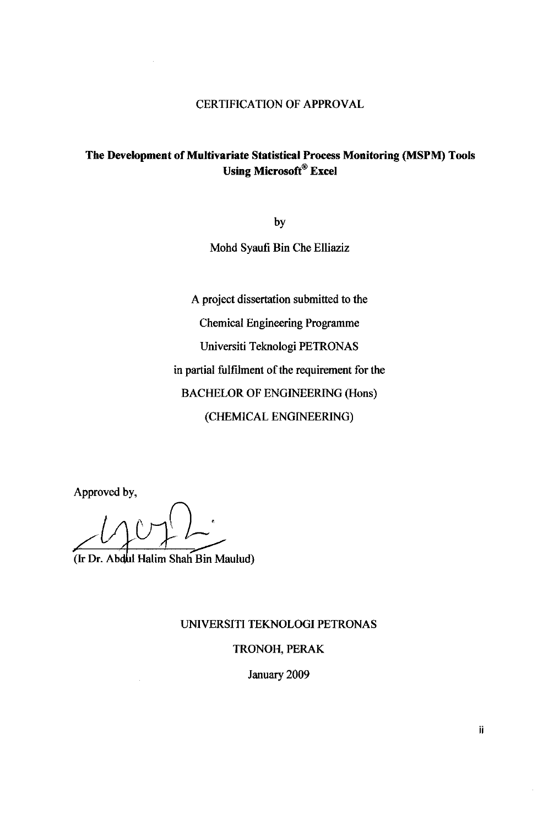# *The Development of Multivariate Statistical Process Monitoring (MSPM) Tools Using Microsoft Excel*

by Mohd Syaufi Bin Che Elliaziz

A project dissertation submitted to the Chemical Engineering Programme Universiti Teknologi PETRONAS in partial fulfilment of the requirement for the BACHELOR OF ENGINEERING (Hons) (CHEMICAL ENGINEERING)

Approved by,

(Ir Dr. Ab4bi Halim Shah Bin Maulud)

UNIVERSITI TEKNOLOGI PETRONAS

#### TRONOH, PERAK

January 2009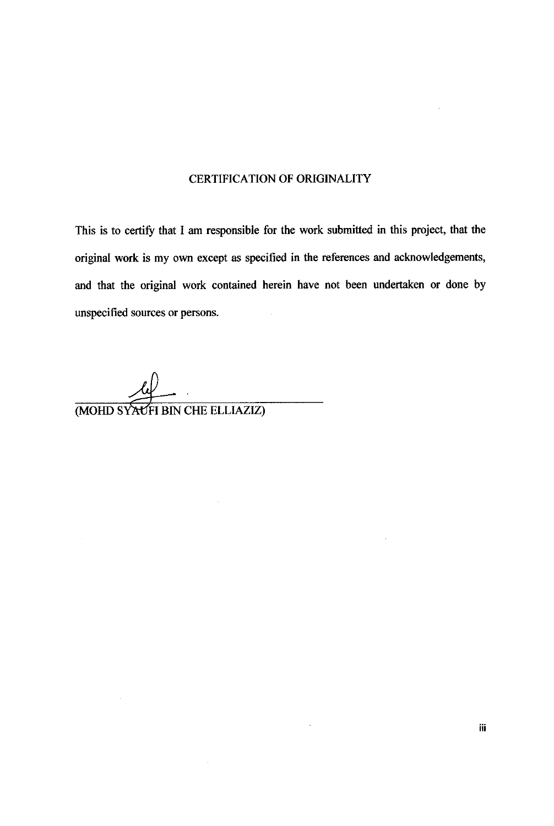## CERTIFICATION OF ORIGINALITY

This is to certify that I am responsible for the work submitted in this project, that the original work is my own except as specified in the references and acknowledgements, and that the original work contained herein have not been undertaken or done by unspecified sources or persons.

(MOHD SYAUFI BIN CHE ELLIAZIZ)

 $\mathcal{L}_{\mathcal{A}}$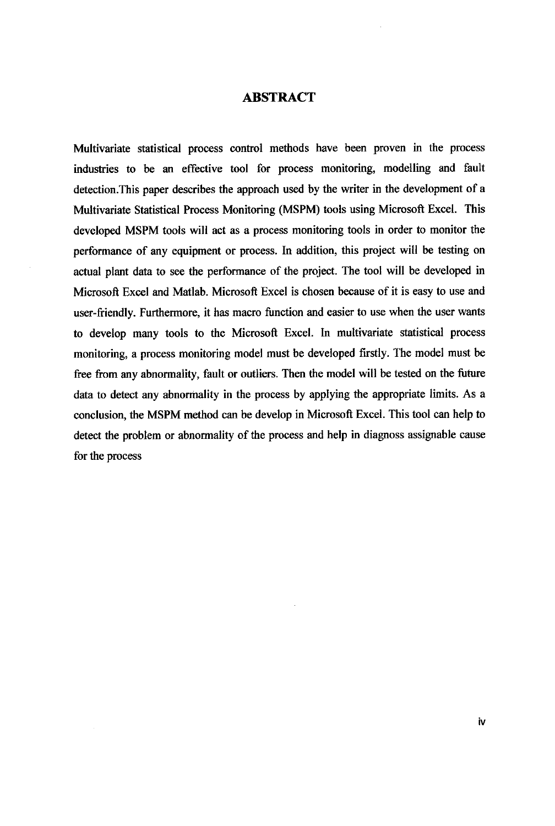#### ABSTRACT

Multivariate statistical process control methods have been proven in the process industries to be an effective tool for process monitoring, modelling and fault detection.This paper describes the approach used by the writer in the development of a Multivariate Statistical Process Monitoring (MSPM) tools using Microsoft Excel. This developed MSPM tools will act as a process monitoring tools in order to monitor the performance of any equipment or process. In addition, this project will be testing on actual plant data to see the performance of the project. The tool will be developed in Microsoft Excel and Matlab. Microsoft Excel is chosen because of it is easy to use and user-friendly. Furthermore, it has macro function and easier to use when the user wants to develop many tools to the Microsoft Excel. In multivariate statistical process monitoring, a process monitoring model must be developed firstly. The model must be free from any abnormality, fault or outliers. Then the model will be tested on the future data to detect any abnormality in the process by applying the appropriate limits. As a conclusion, the MSPM method can be develop in Microsoft Excel. This tool can help to detect the problem or abnormality of the process and help in diagnoss assignable cause for the process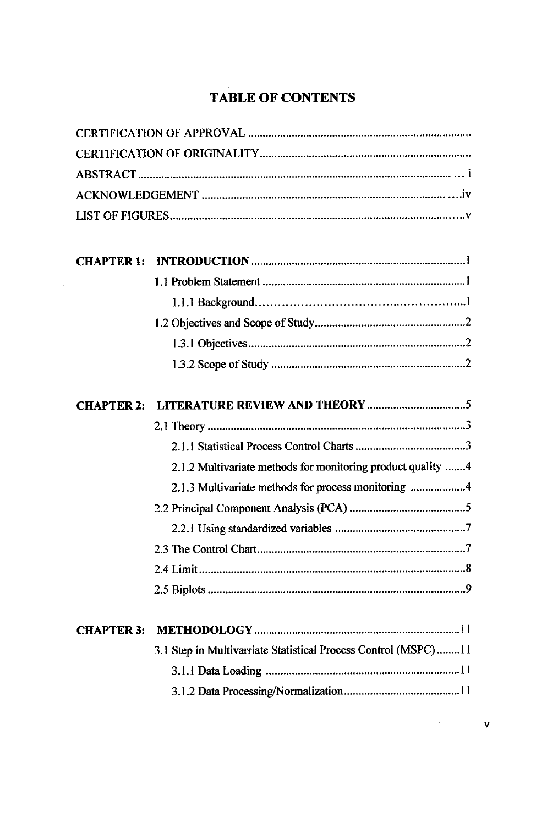# *TABLE OF CONTENTS*

| <b>CHAPTER 2:</b> |                                                                |
|-------------------|----------------------------------------------------------------|
|                   |                                                                |
|                   |                                                                |
|                   | 2.1.2 Multivariate methods for monitoring product quality 4    |
|                   | 2.1.3 Multivariate methods for process monitoring 4            |
|                   |                                                                |
|                   |                                                                |
|                   |                                                                |
|                   | 8<br>2.4 Limit.                                                |
|                   |                                                                |
| <b>CHAPTER 3:</b> |                                                                |
|                   | 3.1 Step in Multivarriate Statistical Process Control (MSPC)11 |
|                   |                                                                |
|                   |                                                                |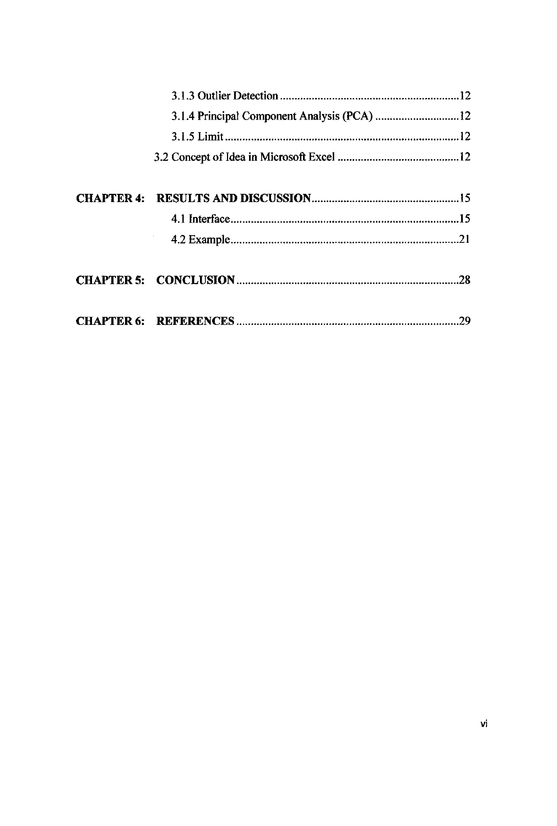| 3.1.4 Principal Component Analysis (PCA) 12 |  |
|---------------------------------------------|--|
|                                             |  |
|                                             |  |
|                                             |  |
|                                             |  |
|                                             |  |
|                                             |  |
|                                             |  |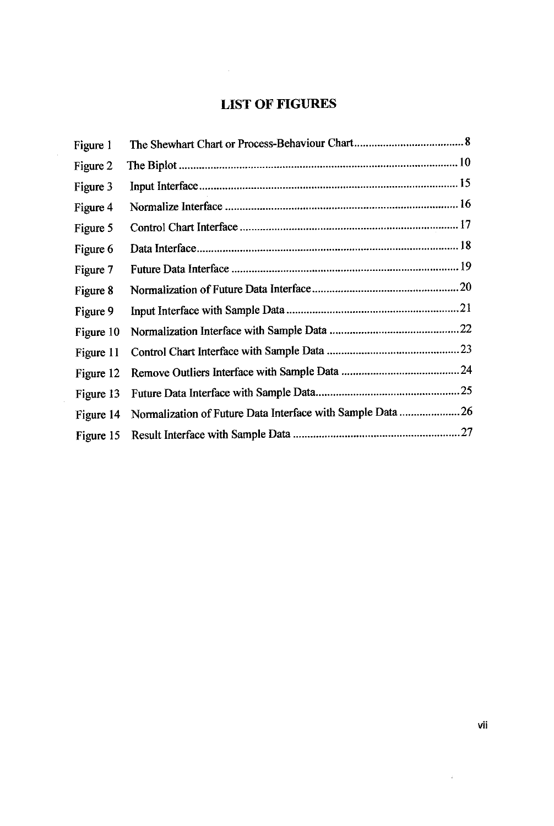# *LIST OF FIGURES*

| Figure 1  |                                                            |  |
|-----------|------------------------------------------------------------|--|
| Figure 2  |                                                            |  |
| Figure 3  |                                                            |  |
| Figure 4  |                                                            |  |
| Figure 5  |                                                            |  |
| Figure 6  |                                                            |  |
| Figure 7  |                                                            |  |
| Figure 8  |                                                            |  |
| Figure 9  |                                                            |  |
| Figure 10 |                                                            |  |
| Figure 11 |                                                            |  |
| Figure 12 |                                                            |  |
| Figure 13 |                                                            |  |
| Figure 14 | Normalization of Future Data Interface with Sample Data 26 |  |
| Figure 15 |                                                            |  |

 $\sim 200$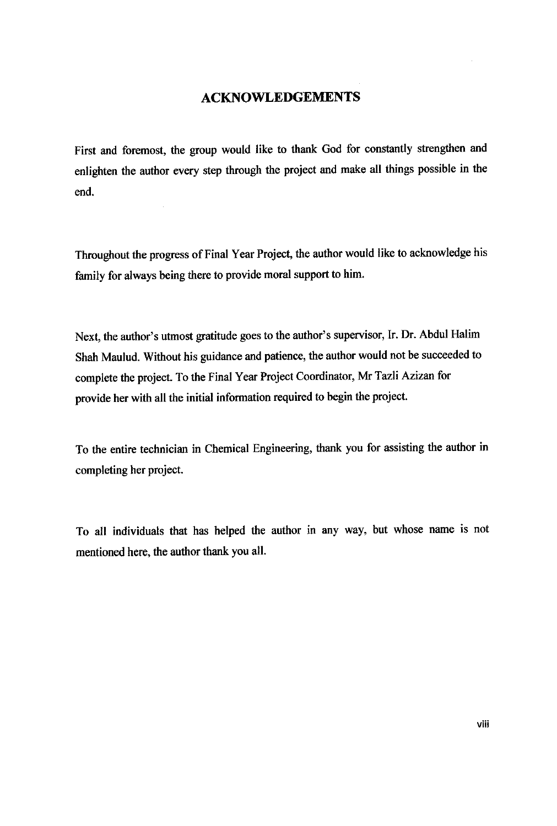#### *ACKNOWLEDGEMENTS*

First and foremost, the group would like to thank God for constantly strengthen and enlighten the author every step through the project and make all things possible in the end.

 $\mathcal{L}_{\mathcal{A}}$ 

Throughout the progress of Final Year Project, the author would like to acknowledge his family for always being there to provide moral support to him.

Next, the author's utmost gratitude goes to the author's supervisor, Ir. Dr. Abdul Halim Shah Maulud. Without his guidance and patience, the author would not be succeeded to complete the project. To the Final Year Project Coordinator, Mr Tazli Azizan for provide her with all the initial information required to begin the project.

To the entire technician in Chemical Engineering, thank you for assisting the author in completing her project.

To all individuals that has helped the author in any way, but whose name is not mentioned here, the author thank you all.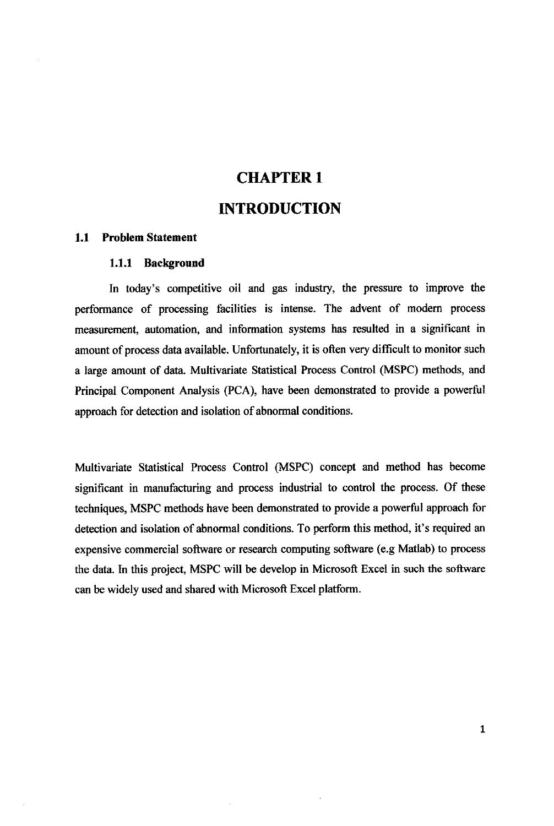# CHAPTER 1 INTRODUCTION

#### *1.1 Problem Statement*

#### *1.1.1 Background*

In today's competitive oil and gas industry, the pressure to improve the performance of processing facilities is intense. The advent of modern process measurement, automation, and information systems has resulted in a significant in amount of process data available. Unfortunately, it is often very difficult to monitor such a large amount of data. Multivariate Statistical Process Control (MSPC) methods, and Principal Component Analysis (PCA), have been demonstrated to provide a powerful approach for detection and isolation of abnormal conditions.

Multivariate Statistical Process Control (MSPC) concept and method has become significant in manufacturing and process industrial to control the process. Of these techniques, MSPC methods have been demonstrated to provide a powerful approach for detection and isolation of abnormal conditions. To perform this method, it's required an expensive commercial software or research computing software (e.g Matlab) to process the data. In this project, MSPC will be develop in Microsoft Excel in such the software can be widely used and shared with Microsoft Excel platform.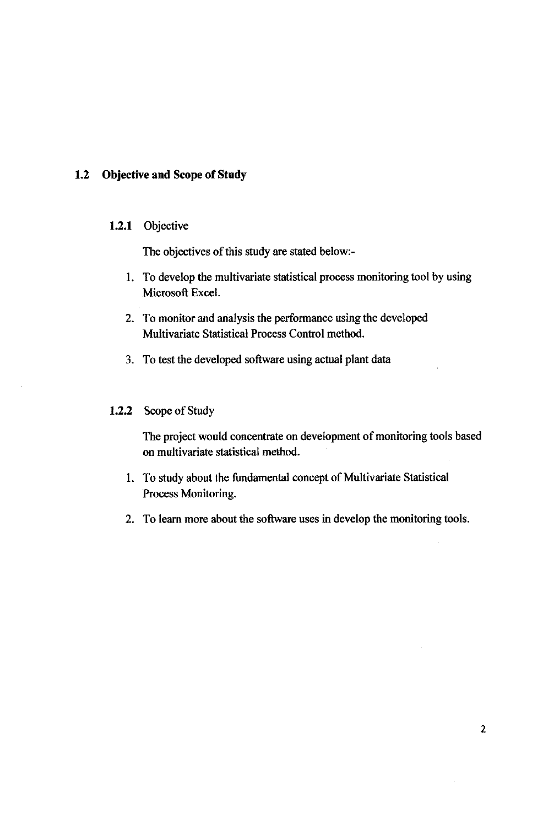#### *1.2 Objective and Scope of Study*

#### *1.2.1* Objective

The objectives of this study are stated below:-

- 1. To develop the multivariate statistical process monitoring tool by using Microsoft Excel.
- 2. To monitor and analysis the performance using the developed Multivariate Statistical Process Control method.
- 3. To test the developed software using actual plant data

#### *1.2.2* Scope of Study

The project would concentrate on development of monitoring tools based on multivariate statistical method.

- 1. To study about the fundamental concept of Multivariate Statistical Process Monitoring.
- 2. To learn more about the software uses in develop the monitoring tools.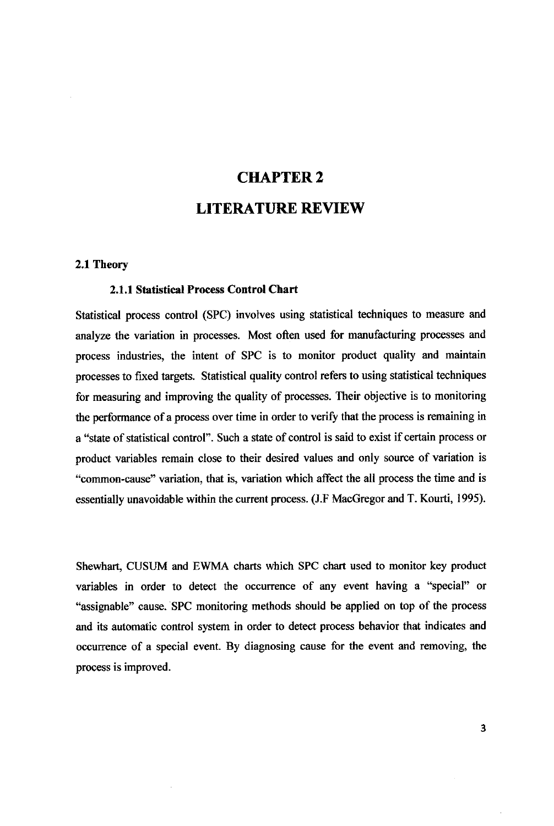# CHAPTER 2 LITERATURE REVIEW

#### *2.1 Theory*

#### *2.1.1 Statistical Process Control Chart*

Statistical process control (SPC) involves using statistical techniques to measure and analyze the variation in processes. Most often used for manufacturing processes and process industries, the intent of SPC is to monitor product quality and maintain processes to fixed targets. Statistical quality control refers to using statistical techniques for measuring and improving the quality of processes. Their objective is to monitoring the performance of a process over time in order to verify that the process is remaining in a "state of statistical control". Such a state of control is said to exist if certain process or product variables remain close to their desired values and only source of variation is "common-cause" variation, that is, variation which affect the all process the time and is essentially unavoidable within the current process. (J.F MacGregor and T. Kourti, 1995).

Shewhart, CUSUM and EWMA charts which SPC chart used to monitor key product variables in order to detect the occurrence of any event having a "special" or "assignable" cause. SPC monitoring methods should be applied on top of the process and its automatic control system in order to detect process behavior that indicates and occurrence of a special event. By diagnosing cause for the event and removing, the process is improved.

 $\overline{\mathbf{3}}$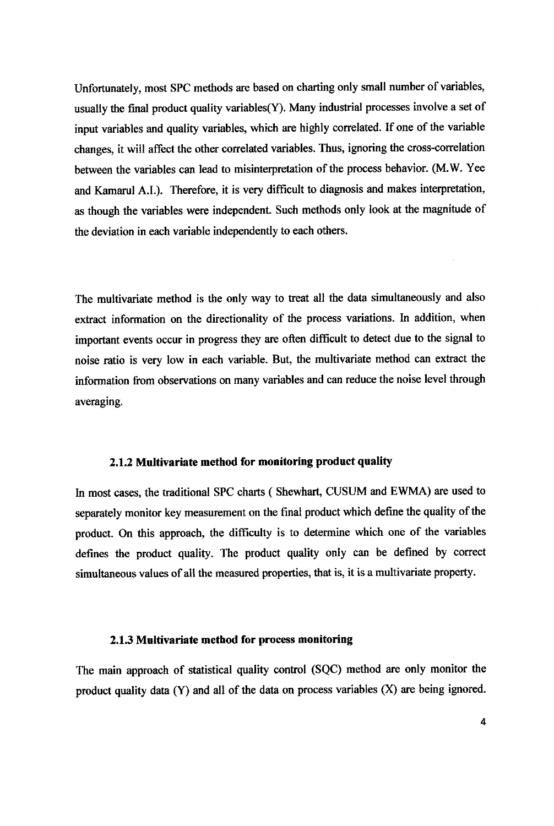Unfortunately, most SPC methods are based on charting only small number of variables, usually the final product quality variables(Y). Many industrial processes involve a set of input variables and quality variables, which are highly correlated. If one of the variable changes, itwill affect the other correlated variables. Thus, ignoring the cross-correlation between the variables can lead to misinterpretation of the process behavior. (M.W. Yee and Kamarul A.I.). Therefore, it is very difficult to diagnosis and makes interpretation, asthough the variables were independent. Such methods only look at the magnitude of the deviation in each variable independently to each others.

The multivariate method is the only way to treat all the data simultaneously and also extract information on the directionality of the process variations. In addition, when important events occur in progress they are often difficult to detect due to the signal to noise ratio is very low in each variable. But, the multivariate method can extract the information from observations on many variables and can reduce the noise level through averaging.

#### *2.1.2 Multivariate method for monitoring product quality*

In most cases, the traditional SPC charts ( Shewhart, CUSUM and EWMA) are used to separately monitor key measurement on the final product which define the quality of the product. On this approach, the difficulty is to determine which one of the variables defines the product quality. The product quality only can be defined by correct simultaneous values of all the measured properties, that is, it is a multivariate property.

#### 2.1.3 *Multivariate method for* process *monitoring*

The main approach of statistical quality control (SQC) method are only monitor the product quality data  $(Y)$  and all of the data on process variables  $(X)$  are being ignored.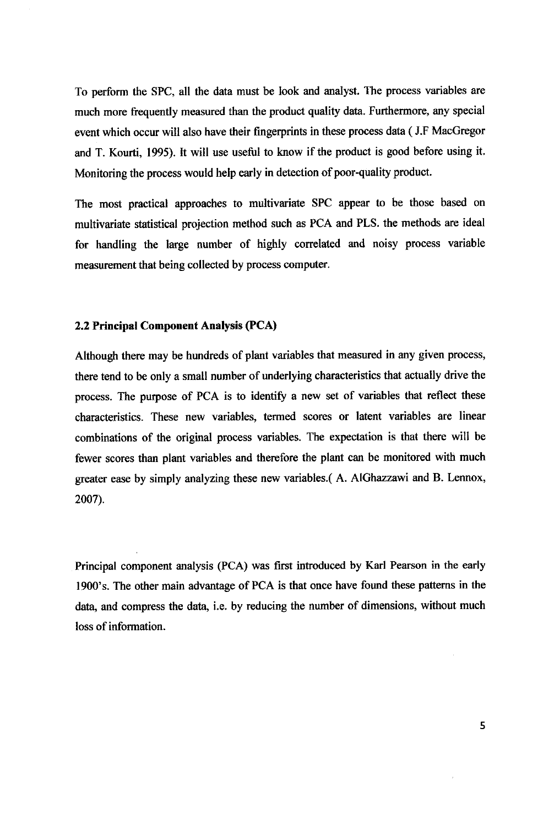To perform the SPC, all the data must be look and analyst. The process variables are much more frequently measured than the product quality data. Furthermore, any special event which occur will also have their fingerprints in these process data (J.F MacGregor and T. Kourti, 1995). It will use useful to know if the product is good before using it. Monitoring the process would help early in detection of poor-quality product.

The most practical approaches to multivariate SPC appear to be those based on multivariate statistical projection method such as PCA and PLS. the methods are ideal for handling the large number of highly correlated and noisy process variable measurement that being collected by process computer.

#### *2.2 Principal Component Analysis (PCA)*

Although there may be hundreds of plant variables that measured in any given process, there tend to be only a small number of underlying characteristics that actually drive the process. The purpose of PCA is to identify a new set of variables that reflect these characteristics. These new variables, termed scores or latent variables are linear combinations of the original process variables. The expectation is that there will be fewer scores than plant variables and therefore the plant can be monitored with much greater ease by simply analyzing these new variables.( A. AlGhazzawi and B. Lennox, 2007).

Principal component analysis (PCA) was first introduced by Karl Pearson in the early 1900's. The other main advantage of PCA is that once have found these patterns in the data, and compress the data, i.e. by reducing the number of dimensions, without much loss of information.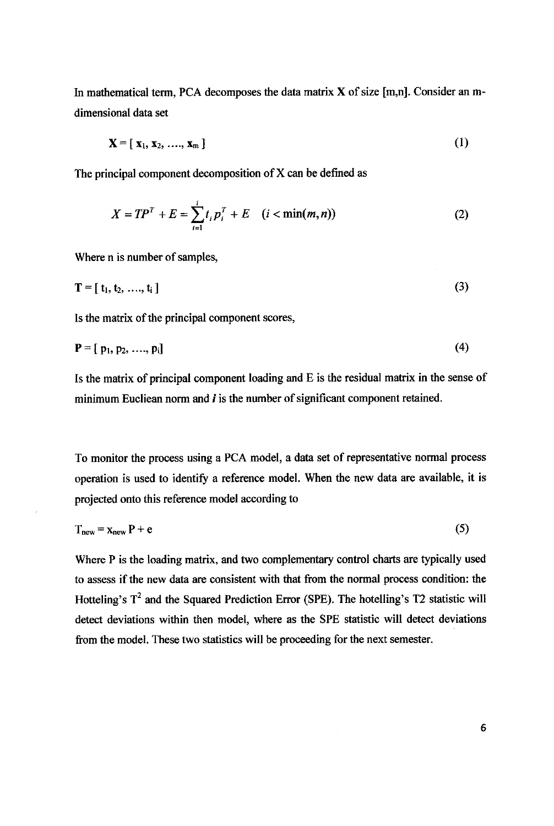In mathematical term, PCA decomposes the data matrix  $X$  of size [m,n]. Consider an mdimensional data set

$$
\mathbf{X} = [\mathbf{x}_1, \mathbf{x}_2, \dots, \mathbf{x}_m]
$$
 (1)

The principal component decomposition of  $X$  can be defined as

$$
X = TP^{T} + E = \sum_{i=1}^{i} t_{i} p_{i}^{T} + E \quad (i < \min(m, n))
$$
 (2)

Where n is number of samples,

$$
T = [t_1, t_2, \ldots, t_i]
$$
 (3)

Is the matrix of the principal component scores,

$$
\mathbf{P} = [p_1, p_2, \dots, p_i] \tag{4}
$$

Is the matrix of principal component loading and  $E$  is the residual matrix in the sense of minimum Eucliean norm and  $i$  is the number of significant component retained.

To monitor the process using a PCA model, a data set of representative normal process operation is used to identify a reference model. When the new data are available, it is projected onto this reference model according to

$$
Tnew = xnew P + e
$$
 (5)

Where P is the loading matrix, and two complementary control charts are typically used to assess ifthe new data are consistent with that from the normal process condition: the Hotteling's  $T^2$  and the Squared Prediction Error (SPE). The hotelling's T2 statistic will detect deviations within then model, where as the SPE statistic will detect deviations from the model. These two statistics will be proceeding for the next semester.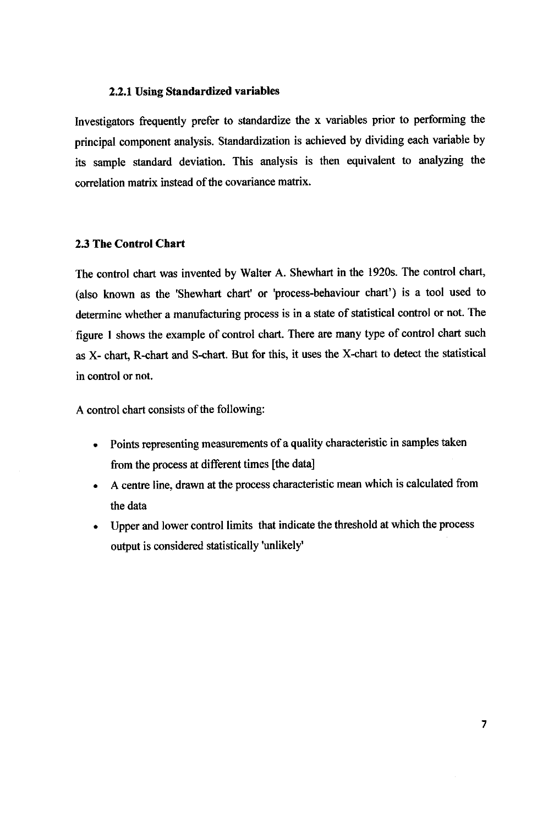#### *2.2.1 Using Standardized variables*

Investigators frequently prefer to standardize the x variables prior to performing the principal component analysis. Standardization is achieved by dividing each variable by its sample standard deviation. This analysis is then equivalent to analyzing the correlation matrix instead of the covariance matrix.

#### *2.3 The Control Chart*

The control chart was invented by Walter A. Shewhart in the 1920s. The control chart, (also known as the 'Shewhart chart' or 'process-behaviour chart') is a tool used to determine whether a manufacturing process is in a state of statistical control or not. The figure 1 shows the example of control chart. There are many type of control chart such as X- chart, R-chart and S-chart. But for this, it uses the X-chart to detect the statistical in control or not.

A control chart consists of the following:

- Points representing measurements of a quality characteristic in samples taken from the process at different times [the data]
- A centre line, drawn at the process characteristic meanwhich is calculated from the data
- Upper and lower control limits that indicate the threshold at which the process output is considered statistically 'unlikely'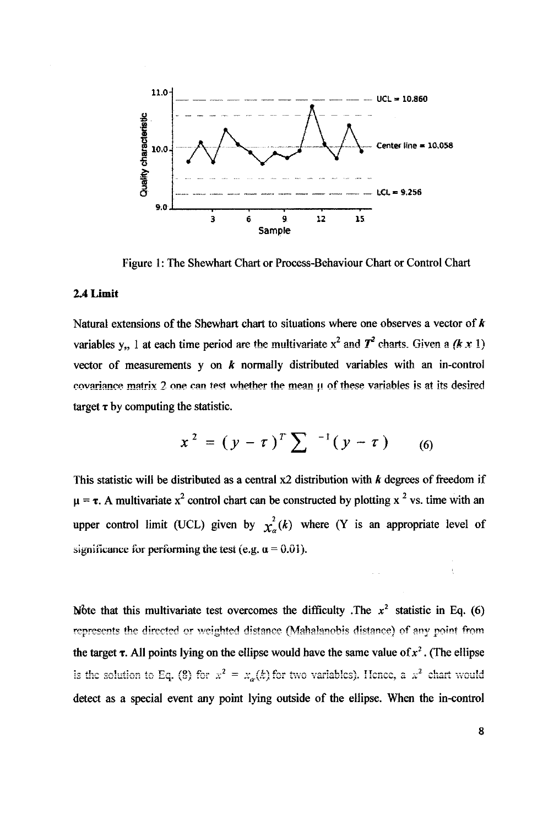

Figure 1: The Shewhart Chart or Process-Behaviour Chart or Control Chart

#### *2.4 Limit*

Natural extensions of the Shewhart chart to situations where one observes a vector of  $\boldsymbol{k}$ variables y,, 1 at each time period are the multivariate  $x^2$  and  $T^2$  charts. Given a  $(k \times 1)$ vector of measurements y on **k** normally distributed variables with an in-control covariance matrix 2 one can test whether the mean  $\mu$  of these variables is at its desired target  $\tau$  by computing the statistic.

$$
x^{2} = (y - \tau)^{T} \sum_{n=1}^{\infty} (y - \tau) \qquad (6)
$$

This statistic will be distributed as a central  $x2$  distribution with  $k$  degrees of freedom if  $\mu = \tau$ . A multivariate x<sup>2</sup> control chart can be constructed by plotting x <sup>2</sup> vs. time with an upper control limit (UCL) given by  $\chi^2_{\alpha}(k)$  where (Y is an appropriate level of significance for performing the test (e.g.  $\alpha = 0.01$ ).

Wote that this multivariate test overcomes the difficulty .The  $x^2$  statistic in Eq. (6) represents the directed or weighted distance (Mahalanobis distance) of any point from the target  $\tau$ . All points lying on the ellipse would have the same value of  $x^2$ . (The ellipse is the solution to Eq. (8) for  $x^2 = x_{\alpha}(k)$  for two variables). Hence, a  $x^2$  chart would detect as a special event any point lying outside of the ellipse. When the in-control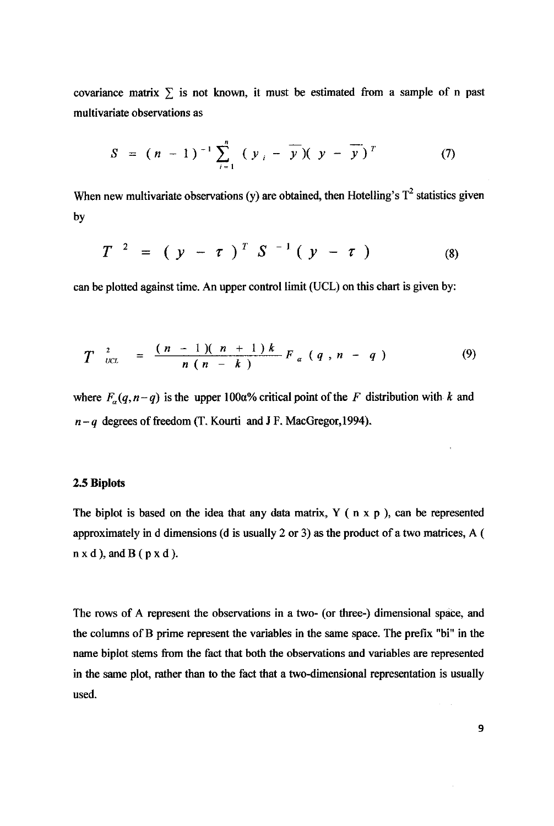covariance matrix  $\sum$  is not known, it must be estimated from a sample of n past multivariate observations as

$$
S = (n-1)^{-1} \sum_{i=1}^{n} (y_i - \overline{y})(y - \overline{y})^T
$$
 (7)

When new multivariate observations (y) are obtained, then Hotelling's  $T^2$  statistics given by

$$
T^{-2} = (y - \tau)^T S^{-1} (y - \tau)
$$
 (8)

can be plotted against time. An upper control limit (UCL) on this chart is given by:

$$
T_{\text{ucl}}^{2} = \frac{(n-1)(n+1)k}{n(n-k)} F_{\alpha}(q,n-q) \qquad (9)
$$

where  $F_a(q, n-q)$  is the upper 100a% critical point of the F distribution with k and **n-q** degreesoffreedom (T. Kourti and J F. MacGregor,1994).

#### *2.5 Biplots*

The biplot is based on the idea that any data matrix,  $Y$  ( $n \times p$ ), can be represented approximately in d dimensions (d is usually 2 or 3) as the product of a two matrices, A (  $n \times d$ ), and B ( $p \times d$ ).

The rows of A represent the observations in a two- (or three-) dimensional space, and the columns of B prime represent the variables in the same space. The prefix "bi" in the name biplot stems from the fact that both the observations and variables are represented in the same plot, rather than to the fact that a two-dimensional representation is usually used.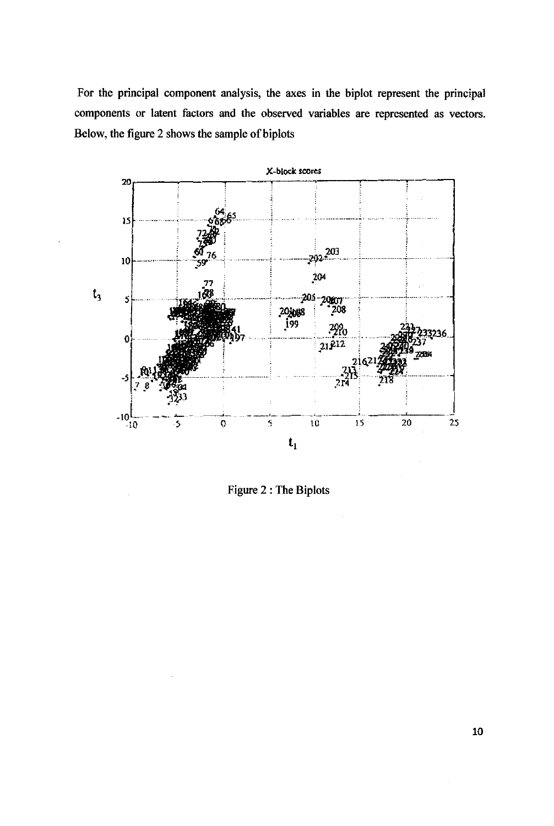For the principal component analysis, the axes in the biplot represent the principal components or latent factors and the observed variables are represented as vectors. Below, the figure 2 shows the sample of biplots



Figure 2 : The Biplots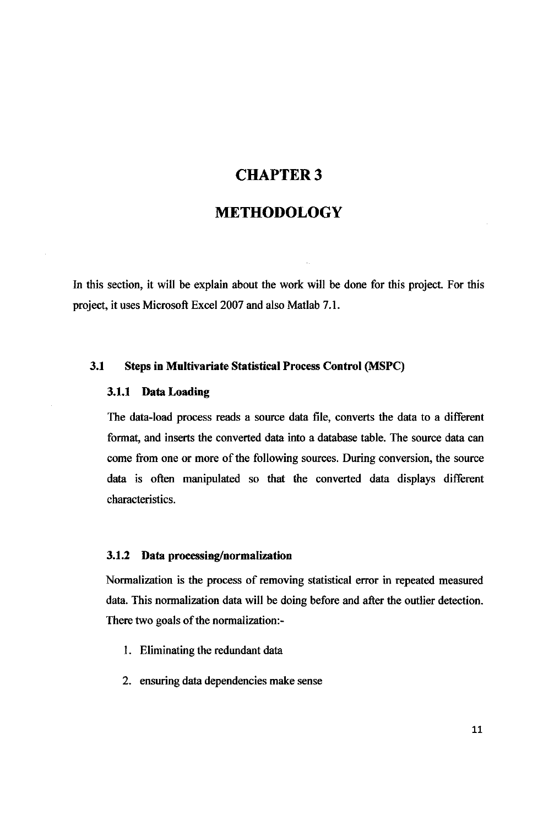## CHAPTER 3

# METHODOLOGY

In this section, it will be explain about the work will be done for this project. For this project, it uses Microsoft Excel 2007 and also Matlab 7.1.

#### *3.1 Steps in Multivariate Statistical Process Control (MSPC)*

#### *3.1.1 Data Loading*

The data-load process reads a source data file, converts the data to a different format, and inserts the converted data into a database table. The source data can come from one or more of the following sources. During conversion, the source data is often manipulated so that the converted data displays different characteristics.

#### *3.1.2 Data processing/normalization*

Normalization is the process of removing statistical error in repeated measured data. This normalization data will be doing before and after the outlier detection. There two goals of the normalization:-

- 1. Eliminating the redundant data
- 2. ensuring data dependencies make sense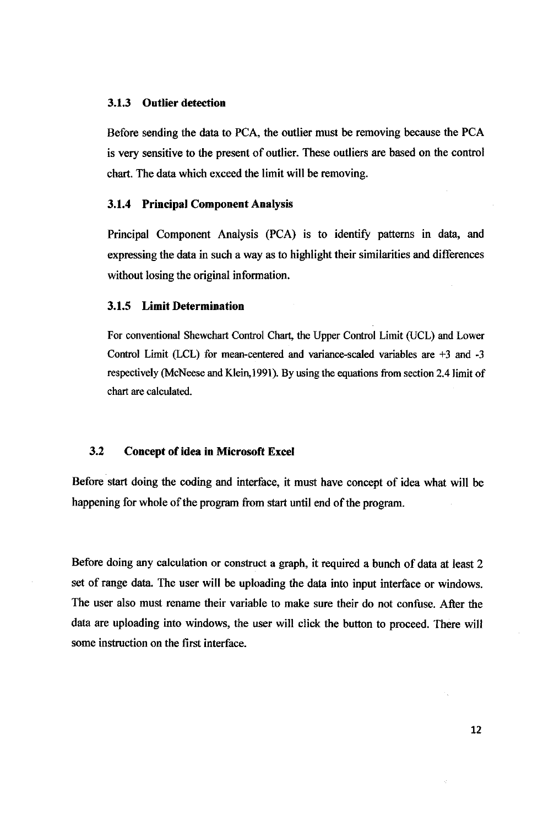#### *3.1.3 Outlier detection*

Before sending the data to PCA, the outlier must be removing because the PCA is very sensitive to the present of outlier. These outliers are based on the control chart. The data which exceed the limit will be removing.

#### *3.1.4 Principal Component Analysis*

Principal Component Analysis (PCA) is to identify patterns in data, and expressing the data in such a way as to highlight their similarities and differences without losing the original information.

#### *3.1.5 Limit Determination*

For conventional Shewchart Control Chart, the Upper Control Limit (UCL) and Lower Control Limit (LCL) for mean-centered and variance-scaled variables are +3 and -3 respectively (McNeese and Klein,1991). By using the equations from section 2.4 limit of chart are calculated.

#### *3.2 Concept ofidea in Microsoft Excel*

Before start doing the coding and interface, it must have concept of idea what will be happening for whole of the program from start until end of the program.

Before doing any calculation or construct a graph, it required a bunch of data at least 2 set of range data. The user will be uploading the data into input interface or windows. The user also must rename their variable to make sure their do not confuse. After the data are uploading into windows, the user will click the button to proceed. There will some instruction on the first interface.

12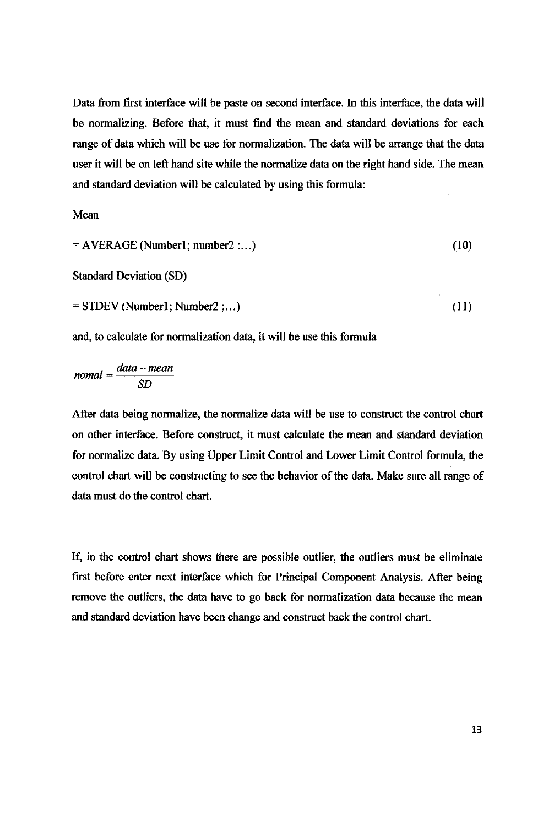Data from first interface will be paste on second interface. In this interface, the data will be normalizing. Before that, it must find the mean and standard deviations for each range of data which will be use for normalization. The data will be arrange that the data user it will be on left hand site while the normalize data on the right hand side. The mean and standard deviation will be calculated by using this formula:

Mean

$$
= AVERAGE (Number1; number2:...)
$$
 (10)

Standard Deviation (SD)

$$
= \text{STDEV} \text{ (Number1; Number2}; \dots) \tag{11}
$$

and, to calculate for normalization data, it will be use this formula

$$
nomal = \frac{data - mean}{SD}
$$

After data being normalize, the normalize data will be use to construct the control chart on other interface. Before construct, it must calculate the mean and standard deviation for normalize data. By using Upper Limit Control and Lower Limit Control formula, the control chart will be constructing to see the behavior of the data. Make sure all range of data must do the control chart.

If, in the control chart shows there are possible outlier, the outliers must be eliminate first before enter next interface which for Principal Component Analysis. After being remove the outliers, the data have to go back for normalization data because the mean and standard deviation have been change and construct back the control chart.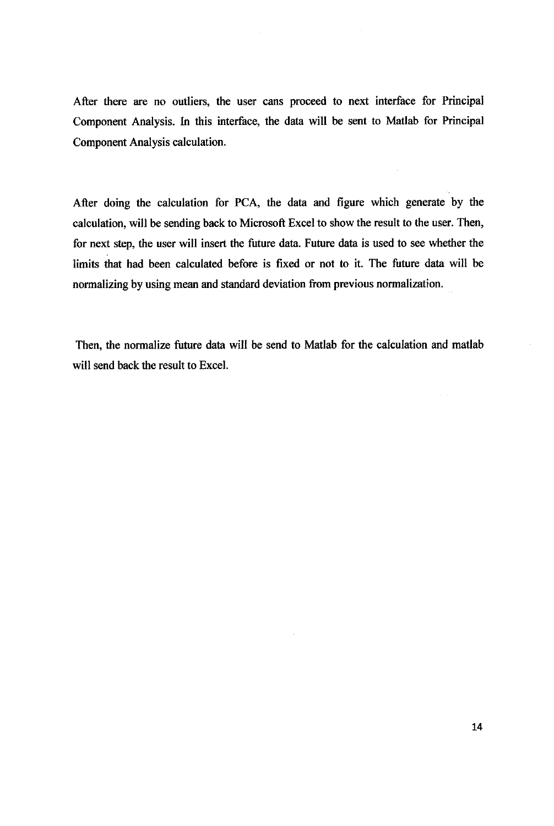After there are no outliers, the user cans proceed to next interface for Principal Component Analysis. In this interface, the data will be sent to Matlab for Principal Component Analysis calculation.

After doing the calculation for PCA, the data and figure which generate by the calculation, will be sending back to Microsoft Excel to show the result to the user. Then, for next step, the user will insert the future data. Future data is used to see whether the limits that had been calculated before is fixed or not to it. The future data will be normalizing by using mean and standard deviation from previous normalization.

Then, the normalize future data will be send to Matlab for the calculation and matlab will send back the result to Excel.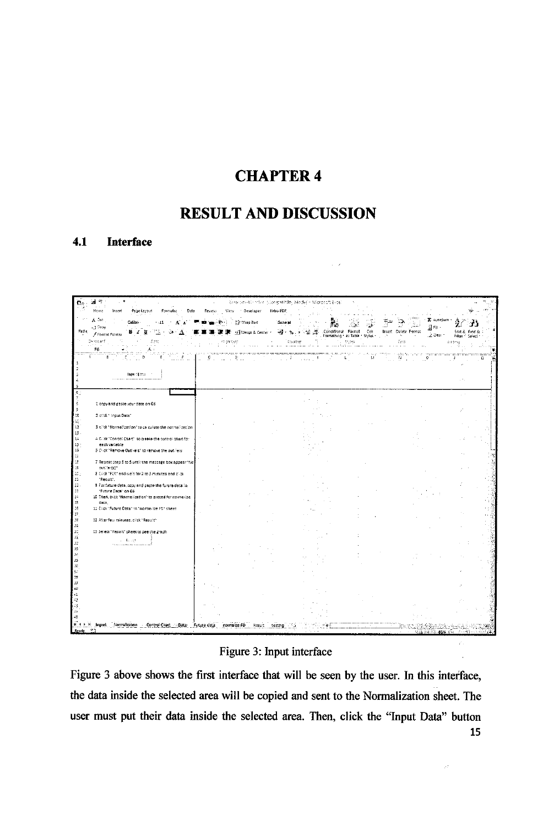# **CHAPTER 4**

# **RESULT AND DISCUSSION**

 $\sim$   $\lambda$ 

#### $4.1$ **Interface**

| ا ان                                                                           |        |                      | Reserving the Manifestation of the Macrosch East |                                                                                                    |                                    |                               |
|--------------------------------------------------------------------------------|--------|----------------------|--------------------------------------------------|----------------------------------------------------------------------------------------------------|------------------------------------|-------------------------------|
| Home<br>Insert<br>Formulas<br>Page Layout<br>Data                              | Review | View Descioper       | Netro FDF.                                       |                                                                                                    |                                    |                               |
| $\Lambda$ -or<br>Calibri-<br>$+11$<br>Æ<br>-_iCopy                             |        | The Wrap Fest        | General                                          |                                                                                                    | E AutoSum<br>j] εμ                 |                               |
| Parte<br>/ Format Painter<br>Chronarit.                                        |        | off Merge & Center + | $-3 - 3$<br>-9-% -                               | Conditional Format<br>Cell<br>- Formatting * as Table * Styles *<br>- 7<br>$\mathcal{F}_{\rm eff}$ | Insert Delete Format<br>L2 Clear * | Sort & Find &<br>Fiker Select |
| Cont<br>F6<br>ふく                                                               |        | provent              | Number                                           | 35/83                                                                                              | Česta                              | barting                       |
| b<br>ε<br>в                                                                    |        | iter e               | angan<br>F.<br>a salari di                       | 12<br>$\mathbf{L}$<br>M<br>$\sim$                                                                  | under the<br>.<br>M<br>Ó<br>111    | a<br>F.                       |
| Interditoral                                                                   |        |                      |                                                  |                                                                                                    |                                    |                               |
|                                                                                |        |                      |                                                  |                                                                                                    |                                    |                               |
|                                                                                |        |                      |                                                  |                                                                                                    |                                    |                               |
| 1 topy and paste your date on GS.                                              |        |                      |                                                  |                                                                                                    |                                    |                               |
| 2 click " input Date"                                                          |        |                      |                                                  |                                                                                                    |                                    |                               |
| 3 circh "Normalization" to calculate the normalization                         |        |                      |                                                  |                                                                                                    |                                    |                               |
| 4 Click "Conrol Chart" so create the control chart for                         |        |                      |                                                  |                                                                                                    |                                    |                               |
| each variable<br>5 Crick "Remove Outliers" to remove the outliers.             |        |                      |                                                  |                                                                                                    |                                    |                               |
| 7 Repeat step 3 to 5 until the message box appear "No                          |        |                      |                                                  |                                                                                                    |                                    |                               |
| outlier(s)"<br>8 Click "FCA" and wait for 2 to 3 minutes and click.            |        |                      |                                                  |                                                                                                    |                                    |                               |
| "Result".<br>5 For future deta, copy and paste the furure data in              |        |                      |                                                  |                                                                                                    |                                    |                               |
| "Future Data" on 66<br>10 Then, plick "Normalization" to proced for normarize- |        |                      |                                                  |                                                                                                    |                                    |                               |
| data.<br>11 Click "Future Data" in "normalize FO" sheet                        |        |                      |                                                  |                                                                                                    |                                    |                               |
| 32 After few minutes, blick "Result"                                           |        |                      |                                                  |                                                                                                    |                                    |                               |
| 13 Severt "Result" sheet to see the graph                                      |        |                      |                                                  |                                                                                                    |                                    |                               |
| $\mathbf{L} = \mathbf{L}_1 \mathbf{1} \mathbf{2} \mathbf{L}_2$                 |        |                      |                                                  |                                                                                                    |                                    |                               |
|                                                                                |        |                      |                                                  |                                                                                                    |                                    |                               |
|                                                                                |        |                      |                                                  |                                                                                                    |                                    |                               |
|                                                                                |        |                      |                                                  |                                                                                                    |                                    |                               |
|                                                                                |        |                      |                                                  |                                                                                                    |                                    |                               |
|                                                                                |        |                      |                                                  |                                                                                                    |                                    |                               |
|                                                                                |        |                      |                                                  |                                                                                                    |                                    |                               |
|                                                                                |        |                      |                                                  |                                                                                                    |                                    |                               |
| If I F Fi Input Normalization Control Chart Data Future data<br>$^{\circ}$     |        | normalize FD Result  | testing                                          |                                                                                                    | 林森油 退出 ass 4-                      |                               |

## Figure 3: Input interface

 $\varphi^*$  .

 $\langle \rho \rho \rangle$  .

Figure 3 above shows the first interface that will be seen by the user. In this interface, the data inside the selected area will be copied and sent to the Normalization sheet. The user must put their data inside the selected area. Then, click the "Input Data" button 15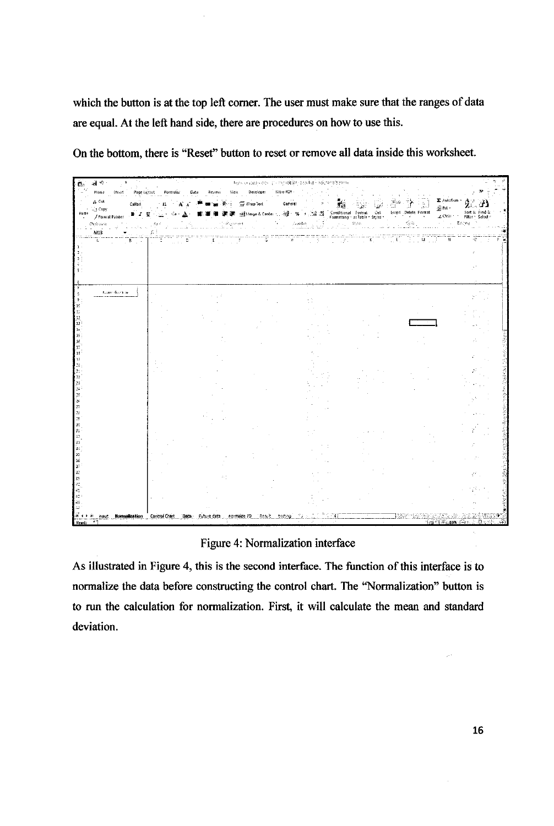which the button is at the top left corner. The user must make sure that the ranges of data are equal. At the left hand side, there are procedures on how to use this.

| ा २<br>C.                    |                                                                  |          |      |                 | Tests or and old to it pring attility abode) - isscranab Exclu-                           |           |                                                                                                                                                                                                                                                                                                                                                                                                                                          |                                     |              |                                               |                                  |                                    |        |
|------------------------------|------------------------------------------------------------------|----------|------|-----------------|-------------------------------------------------------------------------------------------|-----------|------------------------------------------------------------------------------------------------------------------------------------------------------------------------------------------------------------------------------------------------------------------------------------------------------------------------------------------------------------------------------------------------------------------------------------------|-------------------------------------|--------------|-----------------------------------------------|----------------------------------|------------------------------------|--------|
| Horse                        | Insert<br>Page Layout                                            | Formulas | Data | Viet.<br>Review | Develope:                                                                                 | Libra PDF |                                                                                                                                                                                                                                                                                                                                                                                                                                          |                                     |              |                                               |                                  |                                    |        |
| A. Cut<br>$-1$ Copy          | Calibri                                                          |          | Æ    |                 | 哥 WrapText                                                                                | General   |                                                                                                                                                                                                                                                                                                                                                                                                                                          | $\mathbb{Z}_{\widehat{\mathbf{M}}}$ |              | 그 많이<br>سڏن                                   | E AutoSun ~<br><sup>5</sup> Fill |                                    |        |
| Paste<br>Format Painter      | в∠ц                                                              |          |      |                 | 특定 세터ege&Center 실종 % , 30 mg Conditional Format Call Insett<br>Formatting as Table Styles |           |                                                                                                                                                                                                                                                                                                                                                                                                                                          |                                     |              | Insert . Detete Format<br>the service service | $\angle$ Clear $\leq$            | Sort & Find &<br>Filler - Select - |        |
| Chobeard.                    |                                                                  |          |      | Augustadt,      |                                                                                           |           | $\liminf_{n\to\infty}\limsup_{n\to\infty}\frac{1}{n}\sum_{i=1}^n\frac{1}{n}\limsup_{n\to\infty}\frac{1}{n}\limsup_{n\to\infty}\frac{1}{n}\limsup_{n\to\infty}\frac{1}{n}\limsup_{n\to\infty}\frac{1}{n}\limsup_{n\to\infty}\frac{1}{n}\limsup_{n\to\infty}\frac{1}{n}\limsup_{n\to\infty}\frac{1}{n}\limsup_{n\to\infty}\frac{1}{n}\limsup_{n\to\infty}\frac{1}{n}\limsup_{n\to\infty}\frac{1}{n}\limsup_{n\to\infty}\frac{1}{n}\limsup$ |                                     | Syle:        | Style: The Contract of Series (1999)          | $\sim 7$ , $\sim 1000$           |                                    |        |
| M13<br>å.                    |                                                                  |          |      |                 | उ                                                                                         | Ŧ         |                                                                                                                                                                                                                                                                                                                                                                                                                                          |                                     | $\mathbf{K}$ | ges<br>ū.<br>T.                               | N                                |                                    |        |
|                              | $B = 1$                                                          |          |      | ्र ह            |                                                                                           |           |                                                                                                                                                                                                                                                                                                                                                                                                                                          |                                     |              |                                               |                                  |                                    |        |
|                              |                                                                  |          |      |                 |                                                                                           |           |                                                                                                                                                                                                                                                                                                                                                                                                                                          |                                     |              |                                               |                                  |                                    |        |
|                              |                                                                  |          |      |                 |                                                                                           |           |                                                                                                                                                                                                                                                                                                                                                                                                                                          |                                     |              |                                               |                                  |                                    |        |
|                              |                                                                  |          |      |                 |                                                                                           |           |                                                                                                                                                                                                                                                                                                                                                                                                                                          |                                     |              |                                               |                                  |                                    |        |
|                              | team dization.                                                   |          |      |                 |                                                                                           |           |                                                                                                                                                                                                                                                                                                                                                                                                                                          |                                     |              |                                               |                                  |                                    |        |
| 3                            |                                                                  |          |      |                 |                                                                                           |           |                                                                                                                                                                                                                                                                                                                                                                                                                                          |                                     |              |                                               |                                  |                                    |        |
| дē<br>È.                     |                                                                  |          |      |                 |                                                                                           |           |                                                                                                                                                                                                                                                                                                                                                                                                                                          |                                     |              |                                               |                                  |                                    |        |
| 12<br>$13\,$                 |                                                                  |          |      |                 |                                                                                           |           |                                                                                                                                                                                                                                                                                                                                                                                                                                          |                                     |              |                                               |                                  |                                    |        |
| ï÷<br>î5                     |                                                                  |          |      |                 |                                                                                           |           |                                                                                                                                                                                                                                                                                                                                                                                                                                          |                                     |              |                                               |                                  |                                    |        |
| iε                           |                                                                  |          |      |                 |                                                                                           |           |                                                                                                                                                                                                                                                                                                                                                                                                                                          |                                     |              |                                               |                                  |                                    |        |
| 17<br>15                     |                                                                  |          |      |                 |                                                                                           |           |                                                                                                                                                                                                                                                                                                                                                                                                                                          |                                     |              |                                               |                                  |                                    |        |
| ĩβ<br>ردا                    |                                                                  |          |      |                 |                                                                                           |           |                                                                                                                                                                                                                                                                                                                                                                                                                                          |                                     |              |                                               |                                  |                                    |        |
| $21\,$                       |                                                                  |          |      |                 |                                                                                           |           |                                                                                                                                                                                                                                                                                                                                                                                                                                          |                                     |              |                                               |                                  |                                    | 『子宮神経』 |
|                              |                                                                  |          |      |                 |                                                                                           |           |                                                                                                                                                                                                                                                                                                                                                                                                                                          |                                     |              |                                               |                                  |                                    |        |
| 2020年12月12日                  |                                                                  |          |      |                 |                                                                                           |           |                                                                                                                                                                                                                                                                                                                                                                                                                                          |                                     |              |                                               |                                  |                                    |        |
|                              |                                                                  |          |      |                 |                                                                                           |           |                                                                                                                                                                                                                                                                                                                                                                                                                                          |                                     |              |                                               |                                  |                                    |        |
|                              |                                                                  |          |      |                 |                                                                                           |           |                                                                                                                                                                                                                                                                                                                                                                                                                                          |                                     |              |                                               |                                  |                                    |        |
|                              |                                                                  |          |      |                 |                                                                                           |           |                                                                                                                                                                                                                                                                                                                                                                                                                                          |                                     |              |                                               |                                  |                                    |        |
| 高品质光路                        |                                                                  |          |      |                 |                                                                                           |           |                                                                                                                                                                                                                                                                                                                                                                                                                                          |                                     |              |                                               |                                  |                                    |        |
|                              |                                                                  |          |      |                 |                                                                                           |           |                                                                                                                                                                                                                                                                                                                                                                                                                                          |                                     |              |                                               |                                  |                                    |        |
|                              |                                                                  |          |      |                 |                                                                                           |           |                                                                                                                                                                                                                                                                                                                                                                                                                                          |                                     |              |                                               |                                  |                                    |        |
| $\mathbb{B}^{\uparrow}$      |                                                                  |          |      |                 |                                                                                           |           |                                                                                                                                                                                                                                                                                                                                                                                                                                          |                                     |              |                                               |                                  | j 7                                |        |
| 32<br>39<br>$\mathbb{Z}_+^k$ |                                                                  |          |      |                 |                                                                                           |           |                                                                                                                                                                                                                                                                                                                                                                                                                                          |                                     |              |                                               |                                  |                                    |        |
| 41                           |                                                                  |          |      |                 |                                                                                           |           |                                                                                                                                                                                                                                                                                                                                                                                                                                          |                                     |              |                                               |                                  |                                    |        |
| $\mathbb{Z}_2^N$<br>44.      |                                                                  |          |      |                 |                                                                                           |           |                                                                                                                                                                                                                                                                                                                                                                                                                                          |                                     |              |                                               |                                  |                                    |        |
| 拼音声解                         | input Normalization Control Chart Data: Future data normalize FD |          |      |                 | ' Result                                                                                  | testing   |                                                                                                                                                                                                                                                                                                                                                                                                                                          |                                     |              |                                               |                                  |                                    |        |
| ী<br>Ready                   |                                                                  |          |      |                 |                                                                                           |           |                                                                                                                                                                                                                                                                                                                                                                                                                                          |                                     |              |                                               | Les Chillis 25%                  |                                    |        |

On the bottom, there is "Reset" button to reset or remove all data inside this worksheet.

#### Figure 4: Normalization interface

As illustrated in Figure 4, this is the second interface. The function of this interface is to normalize the data before constructing the control chart. The "Normalization" button is to run the calculation for normalization. First, it will calculate the mean and standard deviation.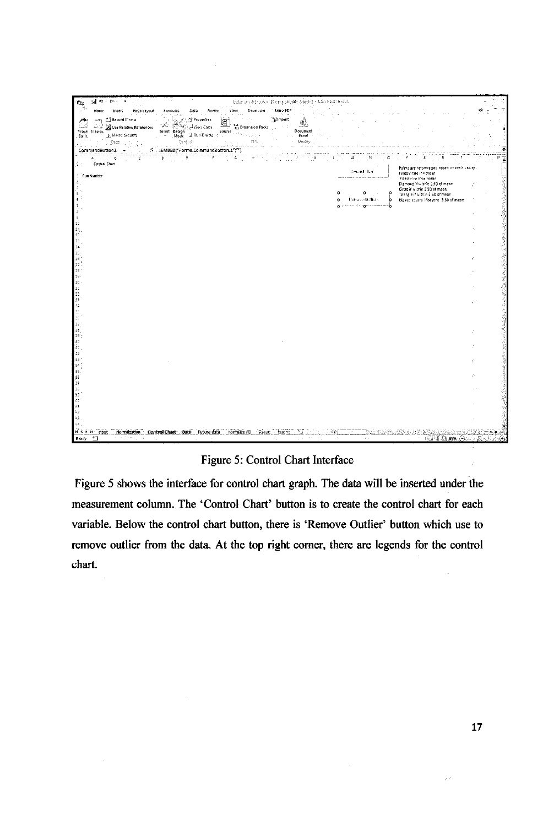| $\mathbf{H} = \mathbf{C} \mathbf{V}$<br>$\tilde{z}$<br>c.                                                                 | betanen barreien [Compatibaty Mode] - Latresch Excel.                                                          |                                               |                                                                 |    |
|---------------------------------------------------------------------------------------------------------------------------|----------------------------------------------------------------------------------------------------------------|-----------------------------------------------|-----------------------------------------------------------------|----|
| н.<br>Home<br>Page Layout<br><b>Insert</b><br>Formulas<br>Cata<br>Review.                                                 | View Developer Nitro PDF                                                                                       |                                               |                                                                 |    |
| seg <sup>21</sup> Record Matto<br>图<br><b>T</b> Properties<br>$A =$                                                       | "glmport<br>35                                                                                                 |                                               |                                                                 |    |
| $\omega_{\rm eff}$<br>-87<br>Use Relative References<br>1540<br>e View Code آبی<br>Intert Design<br>Visual Macros         | ¢۵<br>o Expansion Packs<br>Document<br>Source $\left\langle \mathbb{I}_{\{s_{i}\}_{i\in\{1,2\}}}\right\rangle$ |                                               |                                                                 |    |
| Mode 3 Run Dialog (<br>A Macro Security<br>Basic<br>$\mathbb{Q} \in \mathbb{H}^1_0 \times \mathbb{R}^2$<br>Code<br>$\sim$ | Pane:<br>95 S.<br>Medity                                                                                       |                                               |                                                                 |    |
| 97 T<br>12.15<br>- 20<br>方: ±EMBED("Forms.CommandButton.1";"")<br>CommandButton2<br>$\overline{\phantom{a}}$              | a militêr de lateratura de la<br>$\mathcal{L}_{\mathcal{L}}$                                                   |                                               |                                                                 |    |
| ÷÷<br>c<br>£                                                                                                              | ۰ĸ<br>G<br>-111                                                                                                | $\mathbf{H}$<br>Ыi                            |                                                                 |    |
| Control Chart<br>$1$ .                                                                                                    |                                                                                                                | Control then                                  | Points are reformatted based on their values                    |    |
| 2 Run Number                                                                                                              |                                                                                                                |                                               | Filled white if > mean<br>Filled blue if on mean                |    |
| $\mathbf{J}$                                                                                                              |                                                                                                                |                                               | Dismond if within 15D of mean.<br>Circle il within 2.50 of mean |    |
| 5                                                                                                                         |                                                                                                                | ۰<br>۰                                        | Triangle if witch 3.50 of mean                                  |    |
|                                                                                                                           |                                                                                                                | <b>Remove Outlines</b><br>$\ddot{\mathbf{c}}$ | Big realsouare Mbeyond, 3.50 of mean                            |    |
| 9                                                                                                                         |                                                                                                                |                                               |                                                                 |    |
| $1\overline{z}$                                                                                                           |                                                                                                                |                                               |                                                                 |    |
| 11<br>12                                                                                                                  |                                                                                                                |                                               |                                                                 |    |
| 13                                                                                                                        |                                                                                                                |                                               |                                                                 |    |
| $14\,$<br>$_{\rm 15}$                                                                                                     |                                                                                                                |                                               |                                                                 |    |
| 16                                                                                                                        |                                                                                                                |                                               |                                                                 |    |
| $17^{\frac{1}{2}}$<br>$1\mathrm{g}$                                                                                       |                                                                                                                |                                               |                                                                 |    |
| $10^{\circ}$<br>bo.                                                                                                       |                                                                                                                |                                               |                                                                 |    |
|                                                                                                                           |                                                                                                                |                                               |                                                                 |    |
|                                                                                                                           |                                                                                                                |                                               |                                                                 |    |
|                                                                                                                           |                                                                                                                |                                               |                                                                 | 34 |
| 21 22 23 34 35 36 37                                                                                                      |                                                                                                                |                                               |                                                                 |    |
|                                                                                                                           |                                                                                                                |                                               |                                                                 |    |
| $2\epsilon$<br>25                                                                                                         |                                                                                                                |                                               |                                                                 |    |
|                                                                                                                           |                                                                                                                |                                               |                                                                 |    |
| 第22 第32 第32 第32 第                                                                                                         |                                                                                                                |                                               |                                                                 |    |
|                                                                                                                           |                                                                                                                |                                               |                                                                 |    |
|                                                                                                                           |                                                                                                                |                                               |                                                                 |    |
|                                                                                                                           |                                                                                                                |                                               |                                                                 |    |
|                                                                                                                           |                                                                                                                |                                               |                                                                 |    |
| 39                                                                                                                        |                                                                                                                |                                               |                                                                 |    |
| 42                                                                                                                        |                                                                                                                |                                               |                                                                 |    |
| $\mathbb{Z}_2$<br>23                                                                                                      |                                                                                                                |                                               |                                                                 |    |
|                                                                                                                           |                                                                                                                |                                               |                                                                 |    |
| Hormalization Control Chart Data Future data normalize FD Result<br>mput<br>- 7<br>Ready                                  | testhig                                                                                                        |                                               | 東西 御田 45% (1000) 思い                                             |    |
|                                                                                                                           |                                                                                                                |                                               |                                                                 |    |

# Figure 5: Control Chart Interface

Figure 5 shows the interface for control chart graph. The data will be inserted under the measurement column. The 'Control Chart' button is to create the control chart for each variable. Below the control chart button, there is 'Remove Outlier' button which use to remove outlier from the data. At the top right corner, there are legends for the control chart.

 $\ddot{\phantom{a}}$ 

 $\mathcal{E}^{\mathcal{E}}$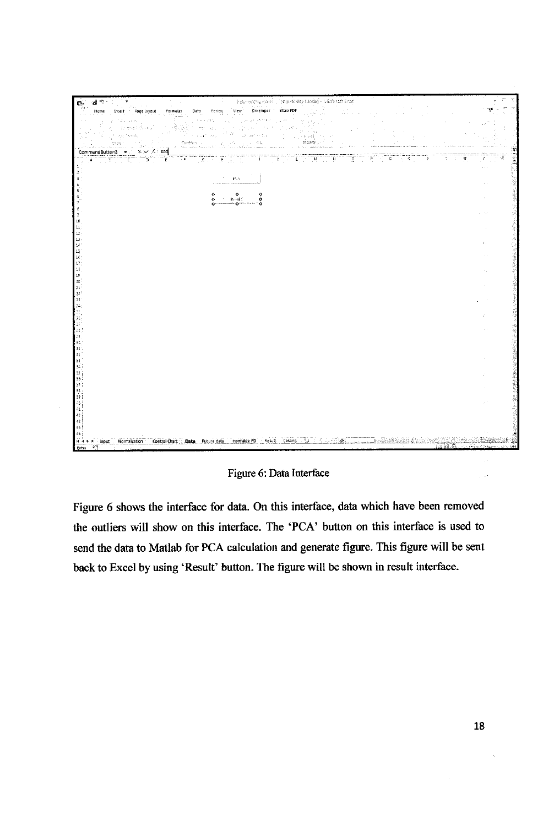

Figure 6: Data Interface

Figure 6 shows the interface for data. On this interface, data which have been removed the outliers will show on this interface. The 'PCA' button on this interface is used to send the data to Matlab for PCA calculation and generate figure. This figure will be sent back to Excel by using 'Result' button. The figure will be shown in result interface.

 $\sim$   $\mu$  .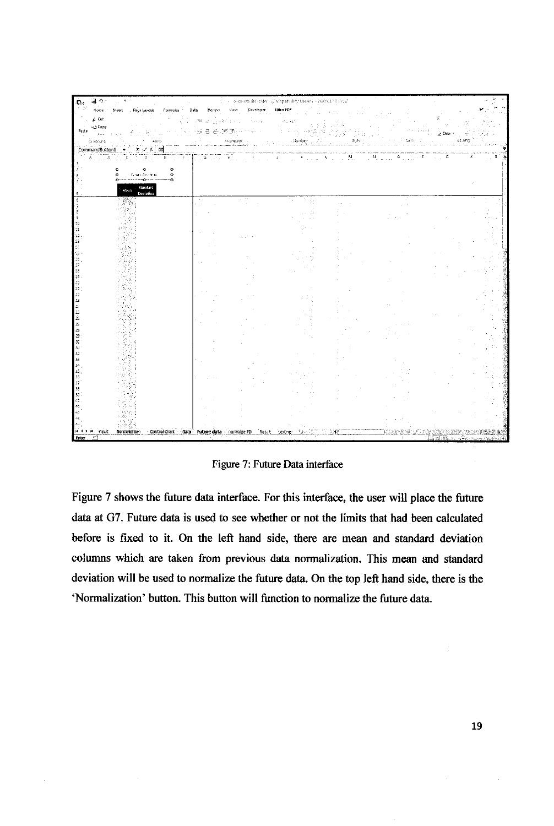| ತ ಿ<br>C.           |                                                  |                                                      |                                            | - Generation detection (Composition) Maxie) - Matrichait évitel                                               |                           |                                                                                                  |                                    |  |
|---------------------|--------------------------------------------------|------------------------------------------------------|--------------------------------------------|---------------------------------------------------------------------------------------------------------------|---------------------------|--------------------------------------------------------------------------------------------------|------------------------------------|--|
| Home :              | Page Layout Formula:<br>Insert                   | Data Review View                                     | Developer                                  | Nitro FDF                                                                                                     |                           |                                                                                                  |                                    |  |
| L. Cut              |                                                  | $\sim 740$ and $\sim 10^{10}$ GeV and $\sim 10^{10}$ | The Corp.                                  | 可加固性                                                                                                          |                           |                                                                                                  |                                    |  |
| $=$ д Сору<br>Paste | ŵ                                                | $\frac{2\pi}{\pi}$<br>图 (图 图 )<br>zg.                | $\gamma\gamma\gamma\gamma_{22}$ , $\gamma$ | $\sim 10^{10}$ per $^{-1}$ GeV                                                                                |                           |                                                                                                  | 2 Clear                            |  |
| Ci abbars           | i Fast.<br>Li                                    | Анденьевство                                         | <b>Carl Arms</b>                           | $\sim$<br>strating products.                                                                                  | $\mathbb{S}(\mathcal{A})$ | Celtro di                                                                                        | taing                              |  |
| CommandButton1      | $\mathbf{x} \times \mathbf{y} = 50$<br>$\bullet$ |                                                      |                                            |                                                                                                               |                           |                                                                                                  |                                    |  |
|                     | <b>D</b><br>Ε                                    | Ġ.                                                   | <b>Burney Corp.</b><br>$\mathbf{J}$ .      | $\overline{K}$ , $\overline{K}$ , $\overline{K}$ , $\overline{K}$ , $\overline{K}$ , $\overline{K}$<br>$\sim$ | W.<br>N                   | $\mathfrak{g}_{\mathcal{A},\mathcal{A},\mathcal{B}}$ is a $\mathfrak{f}_{\mathcal{A}}$<br>a sala | τ<br>$\mathcal{L}^{\mathcal{L}}$ . |  |
|                     | ٥<br>$\sim$ 0<br>$\circ$                         |                                                      |                                            |                                                                                                               |                           |                                                                                                  |                                    |  |
|                     | <b>Non-substrate</b><br>$\circ$<br>۰<br>÷.<br>÷  |                                                      |                                            |                                                                                                               |                           |                                                                                                  |                                    |  |
|                     | Standard<br>Mean                                 |                                                      |                                            |                                                                                                               |                           |                                                                                                  |                                    |  |
|                     | Deviation                                        |                                                      | $\alpha=2.5$                               |                                                                                                               |                           |                                                                                                  |                                    |  |
|                     |                                                  |                                                      |                                            |                                                                                                               |                           |                                                                                                  |                                    |  |
|                     |                                                  |                                                      |                                            |                                                                                                               |                           |                                                                                                  |                                    |  |
| 94                  |                                                  |                                                      |                                            |                                                                                                               |                           |                                                                                                  |                                    |  |
|                     |                                                  |                                                      |                                            |                                                                                                               |                           |                                                                                                  |                                    |  |
| 13                  |                                                  |                                                      |                                            |                                                                                                               |                           |                                                                                                  |                                    |  |
| 16                  |                                                  |                                                      |                                            |                                                                                                               |                           |                                                                                                  |                                    |  |
| 15<br>17            |                                                  |                                                      |                                            |                                                                                                               |                           |                                                                                                  |                                    |  |
| 33<br>19            |                                                  |                                                      |                                            |                                                                                                               |                           |                                                                                                  |                                    |  |
|                     |                                                  |                                                      |                                            |                                                                                                               |                           |                                                                                                  |                                    |  |
| 21<br>22            |                                                  |                                                      |                                            |                                                                                                               |                           |                                                                                                  |                                    |  |
| 23                  |                                                  |                                                      |                                            |                                                                                                               |                           |                                                                                                  |                                    |  |
| 25                  |                                                  |                                                      |                                            |                                                                                                               |                           |                                                                                                  |                                    |  |
| 26<br>27            |                                                  |                                                      |                                            |                                                                                                               |                           |                                                                                                  |                                    |  |
| 28                  |                                                  |                                                      |                                            |                                                                                                               |                           |                                                                                                  |                                    |  |
| 29<br>30            |                                                  |                                                      |                                            |                                                                                                               |                           |                                                                                                  |                                    |  |
| 31                  |                                                  |                                                      |                                            |                                                                                                               |                           |                                                                                                  |                                    |  |
| 33                  |                                                  |                                                      |                                            |                                                                                                               |                           |                                                                                                  |                                    |  |
| śŚ                  |                                                  |                                                      |                                            |                                                                                                               |                           |                                                                                                  |                                    |  |
| 3ē                  |                                                  |                                                      |                                            |                                                                                                               |                           |                                                                                                  |                                    |  |
| 38                  |                                                  |                                                      |                                            |                                                                                                               |                           |                                                                                                  |                                    |  |
| 39.                 |                                                  |                                                      |                                            |                                                                                                               |                           |                                                                                                  |                                    |  |
|                     |                                                  |                                                      |                                            |                                                                                                               |                           |                                                                                                  |                                    |  |
|                     |                                                  |                                                      |                                            |                                                                                                               |                           |                                                                                                  |                                    |  |
|                     |                                                  |                                                      |                                            |                                                                                                               |                           |                                                                                                  |                                    |  |
| Enter               | Normalization                                    | Control Chart Data Future data normalize FD          | Result                                     | $2 +$<br>testing                                                                                              |                           |                                                                                                  | 編 101 山脈                           |  |
|                     |                                                  |                                                      |                                            |                                                                                                               |                           |                                                                                                  |                                    |  |

Figure 7: Future Data interface

Figure 7 shows the future data interface. For this interface, the user will place the future data at G7. Future data is used to see whether or not the limits that had been calculated before is fixed to it. On the left hand side, there are mean and standard deviation columns which are taken from previous data normalization. This mean and standard deviation will be used to normalize the future data. On the top left hand side, there is the 'Normalization' button. This button will function to normalize the future data.

 $\bar{z}$ 

ý.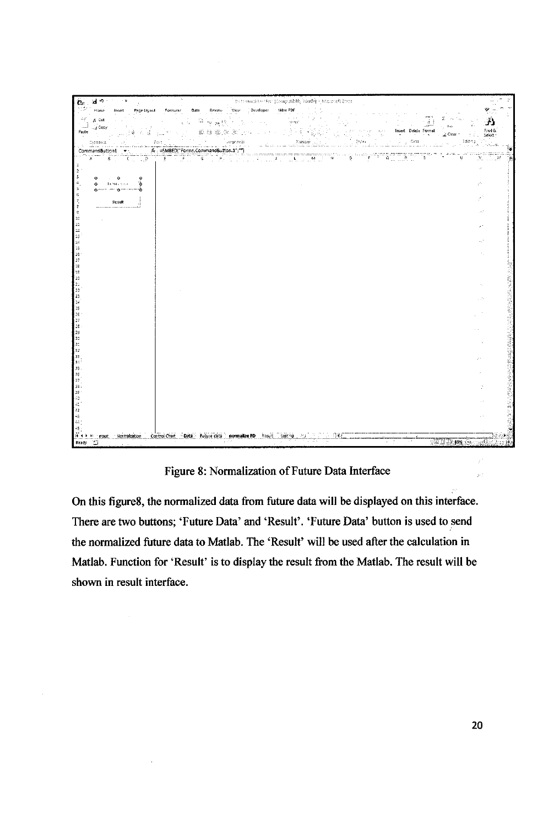

Figure 8: Normalization of Future Data Interface

On this figure8, the normalized data from future data will be displayed on this interface. There are two buttons; 'Future Data' and 'Result'. 'Future Data' button is used to send the normalized future data to Matlab. The 'Result' will be used after the calculation in Matlab. Function for 'Result' is to display the result from the Matlab. The result will be shown in result interface.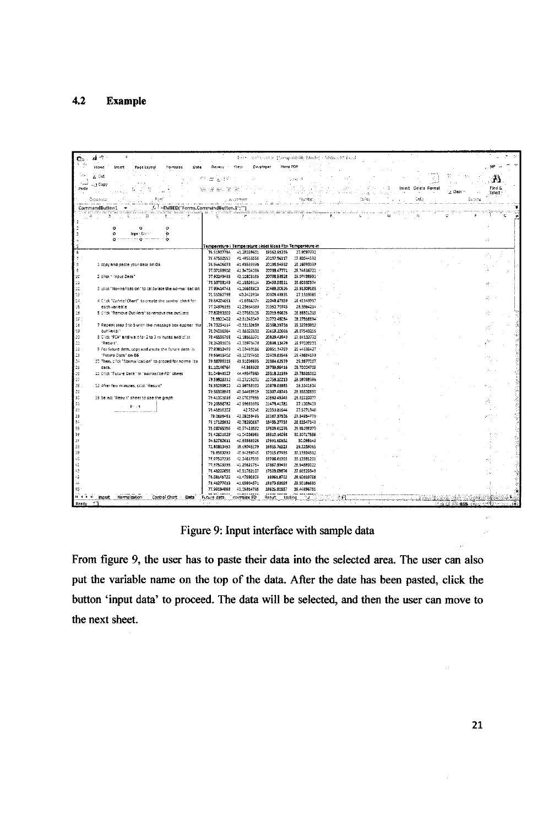#### $4.2$ **Example**

| ai ÷                                  |                                                                             |                               |                            |                            | トック・アンドミックしょ (Compatibility Mode) · Affords 90 Blood                     |                                                                  |                                        |                      |                                     |                 |
|---------------------------------------|-----------------------------------------------------------------------------|-------------------------------|----------------------------|----------------------------|--------------------------------------------------------------------------|------------------------------------------------------------------|----------------------------------------|----------------------|-------------------------------------|-----------------|
| Hame                                  | Insert<br>Page Layout<br>Formulas<br>Data                                   | Resteur                       | De stoper<br>Vrey          |                            | Hitro PDF                                                                |                                                                  |                                        |                      |                                     |                 |
|                                       |                                                                             |                               |                            |                            |                                                                          |                                                                  |                                        |                      |                                     |                 |
| 6 Cut                                 |                                                                             | ಡ⊾ಲ್                          |                            |                            | 5 ment                                                                   |                                                                  |                                        |                      | ta an                               | , 13            |
| - J Copy<br>Paste                     |                                                                             | 命服乱席                          | æ                          |                            |                                                                          |                                                                  | 30 min<br>- 64                         | Insert Delete Format |                                     | Find &          |
|                                       |                                                                             |                               |                            |                            |                                                                          | the state of the state                                           |                                        |                      | Z Clear ~                           | Select :        |
| Copposite                             | Font                                                                        |                               | ALL STORES                 |                            | Hamber-                                                                  | ووالمستحدث واستنقادها فالإفتية الارام الخشر ولأفراط الساوق الراز | $\mathbb{R}^n \backslash \mathbb{R}^n$ | Cells                | Eoristig                            |                 |
| CommandButton1                        | f. EMBEDI"Forms.CommandButton.1";""                                         | the markets of many complete. |                            |                            |                                                                          |                                                                  |                                        |                      |                                     | ٠¥.             |
|                                       | Ω                                                                           | n a statistik                 |                            |                            | 20000                                                                    | к.                                                               | associating argum<br>August 1<br>M     | n.                   | Ö.                                  |                 |
|                                       |                                                                             |                               |                            |                            |                                                                          |                                                                  |                                        |                      |                                     |                 |
| $\circ$                               | $\circ$                                                                     |                               |                            |                            |                                                                          |                                                                  |                                        |                      |                                     |                 |
| $\circ$                               | <b>JEDIT DEL</b><br>o                                                       |                               |                            |                            |                                                                          |                                                                  |                                        |                      |                                     |                 |
| ó                                     | المسرمين للمسامح والمتورد المسامحات                                         |                               |                            |                            |                                                                          |                                                                  |                                        |                      |                                     | æ               |
| Е                                     |                                                                             | 76.51907794                   | 41.28339601                | 19562.91236                | l'emperature i Temperature ciniel Mass Flor Temperature in<br>27.9097772 |                                                                  |                                        |                      |                                     |                 |
|                                       |                                                                             | 76.47500553                   | 41.49555556                | 20197.96117                | 27.80044592                                                              |                                                                  |                                        |                      |                                     |                 |
|                                       | 1 copy and paste your data on G6                                            | 76.94406073                   | 41.45599395                | 20198.94932                | 28.16993399                                                              |                                                                  |                                        |                      |                                     |                 |
| ę                                     |                                                                             | 77.07198902                   | 41.34724036                | 20733-47771                | 25.74536722                                                              |                                                                  |                                        |                      |                                     |                 |
| 1¢<br>2 click " Input Date"           |                                                                             | 77.92243435                   | 42.10805195                | 20798.53528                | 29.07438991                                                              |                                                                  |                                        |                      |                                     |                 |
| $\mathbb{S}1$                         |                                                                             | 73.33758149                   | 42.15926114                | 20453.53511                | 28.60880574                                                              |                                                                  |                                        |                      |                                     | ŧ.              |
| 12                                    | 3 citck "Normalization" to calculate the normalization                      | 77.93414741                   | 41.16638803                | 20489.50626                | 25.913091BB                                                              |                                                                  |                                        |                      |                                     |                 |
| 13                                    |                                                                             | 71.55262799<br>76.84224551    | 40.2422834<br>41.6916374   | 20309.41835<br>21048.97159 | 27.1113185<br>28.41149917                                                |                                                                  |                                        |                      |                                     |                 |
| $\mathbb{R}^2$<br>15<br>each variable | 4 Click "Conrto! Chart" to create the control chart for                     | 77.24976335                   | 42.23634389                | 21952.70745                | 28.3964214                                                               |                                                                  |                                        |                      |                                     |                 |
| $\ddot{\rm s}$                        | 5 Click "Remove Outriers" to remove the outliers                            | 77.E0091202                   | 42.07552125                | 22013.19623                | 26.BBS01215                                                              |                                                                  |                                        |                      |                                     | ŵ.              |
|                                       |                                                                             | 72.8322402                    | 42.81345049                | 21772.45094                | 23.27556694                                                              |                                                                  |                                        |                      |                                     |                 |
| $\frac{57}{18}$                       | 7 Repeat step 3 to 5 until the message box appear 'rio                      | 79.73254114                   | 43.33132659                | 22368.59736                | 29.32793952                                                              |                                                                  |                                        |                      |                                     |                 |
| 19<br>out Gerici"                     |                                                                             | 78.04016564                   | 41.86320532                | 20613-20666                | 28.07543256                                                              |                                                                  |                                        |                      |                                     |                 |
| 20                                    | 8. Click "PCA" and wait for 2 to 3 minutes and click.                       | 72.46556765                   | 42.18565371                | 20829-43943                | 27.84132772                                                              |                                                                  |                                        |                      |                                     |                 |
| $\mathbf{1}$<br>"Repute".             |                                                                             | 78.24281506                   | 42.33973475                | 20898.13479                | 28.97020033                                                              |                                                                  |                                        |                      |                                     |                 |
| 22<br>$23\,$                          | 9 For future data, copy and paste the furure data in<br>"Future Date" on 66 | 77.83812499<br>79.65413452    | 41.03410156<br>48.13777453 | 20851.34703<br>22409.83546 | 25.44335427<br>29.49654199                                               |                                                                  |                                        |                      |                                     |                 |
| 24                                    | 10 Then, click "Normalization" to proced for normalize.                     | 79.88788515                   | 43.51096695                | 22384.62579                | 29,3677007                                                               |                                                                  |                                        |                      |                                     |                 |
| deta.                                 |                                                                             | 81.10146764                   | 44.368928                  | 23739.59416                | 28.70004705                                                              |                                                                  |                                        |                      |                                     |                 |
| 25<br>25<br>27<br>27                  | 11 Crick "Future Date" in "normalize FD" sheet                              | \$1,04849527                  | 44,4354,7885               | 23319.21199                | 23.78625962                                                              |                                                                  |                                        |                      |                                     |                 |
|                                       |                                                                             | 79.59928312                   | 43.17209282                | 21759.10213                | 28.09788386                                                              |                                                                  |                                        |                      |                                     |                 |
| 38                                    | 12 After few minutes, click "Result"                                        | 79.95289922                   | 42.98758102                | 21879.01863                | 28.2241624                                                               |                                                                  |                                        |                      |                                     |                 |
| 29                                    |                                                                             | 79.86308943                   | 43.5446.8919               | 22307,43743                | 29.355206551                                                             |                                                                  |                                        |                      |                                     |                 |
| 30<br>31                              | 13 Select "Result" sheet to see the graph                                   | 79.41003019<br>79.23598782    | 43.07027555<br>42.59663393 | 21552.45245<br>21473.41782 | 28.92220077<br>27.1208429                                                |                                                                  |                                        |                      |                                     |                 |
| 32                                    | s in British                                                                | 79.45816302                   | 42.75248                   | 21959.81644                | 27.5271946                                                               |                                                                  |                                        |                      |                                     |                 |
| 33                                    |                                                                             | 79.0616461                    | 42.29253495                | 21167.37536                | 27.34954773                                                              |                                                                  |                                        |                      |                                     |                 |
| ξâ                                    |                                                                             | 76.17125932                   | 40.78290567                | 18455.27753                | 22.82547143                                                              |                                                                  |                                        |                      |                                     |                 |
| 35                                    |                                                                             | 75.05765356                   | 40.97413582                | 17609.61076                | 29.95195073                                                              |                                                                  |                                        |                      |                                     |                 |
| œ                                     |                                                                             | 75.42801929                   | 41.04026963                | 15910.1406B                | 30.30717559                                                              |                                                                  |                                        |                      |                                     |                 |
| 17                                    |                                                                             | 74.82782611                   | 40.86688328                | 17991.60952                | 3C.099143                                                                |                                                                  |                                        |                      |                                     |                 |
|                                       |                                                                             | 72.80813492                   | 39.69045179                | 16955.76523                | 29.2239065                                                               |                                                                  |                                        |                      |                                     |                 |
| 39<br>ĽĞ,                             |                                                                             | 75.8563282<br>78.07507235     | 45.94259745<br>42.24617533 | 17315.67495<br>18786.61305 | 30.13924512<br>30.12581201                                               |                                                                  |                                        |                      |                                     |                 |
|                                       |                                                                             | 77.37503335                   | 41.29621754                | 17857.99495                | 28.54589022                                                              |                                                                  |                                        |                      |                                     |                 |
| 42                                    |                                                                             | 75.48220556                   | 40.51762107                | 17533.09B76                | 27.66529349                                                              |                                                                  |                                        |                      |                                     |                 |
| ٥                                     |                                                                             | 78.08145722                   | 41.47590309                | 19361.8702                 | 28.60603758                                                              |                                                                  |                                        |                      |                                     |                 |
|                                       |                                                                             | 78.46277013                   | 41.65964571                | 19173.63659                | 23.50185685                                                              |                                                                  |                                        |                      |                                     |                 |
| 45                                    |                                                                             | 77.99194868                   | 41.05334795                | 19625.61957                | 25.44896751                                                              |                                                                  |                                        |                      |                                     |                 |
| <b><i>M 4 5 51</i></b><br>innut       | . Horriglization<br>Control Chart<br>-Data                                  | Future data.                  | normalize FD               | Result                     | tastric                                                                  |                                                                  |                                        |                      |                                     |                 |
| ٠٦<br>Ready                           |                                                                             |                               |                            |                            |                                                                          |                                                                  |                                        |                      | haid (미 <b>:145%</b> :극소 xe*() ~~~~ | $\widehat{(+)}$ |

Figure 9: Input interface with sample data

From figure 9, the user has to paste their data into the selected area. The user can also put the variable name on the top of the data. After the date has been pasted, click the button 'input data' to proceed. The data will be selected, and then the user can move to the next sheet.

 $\sim 10^6$ 

 $\frac{1}{2}$  .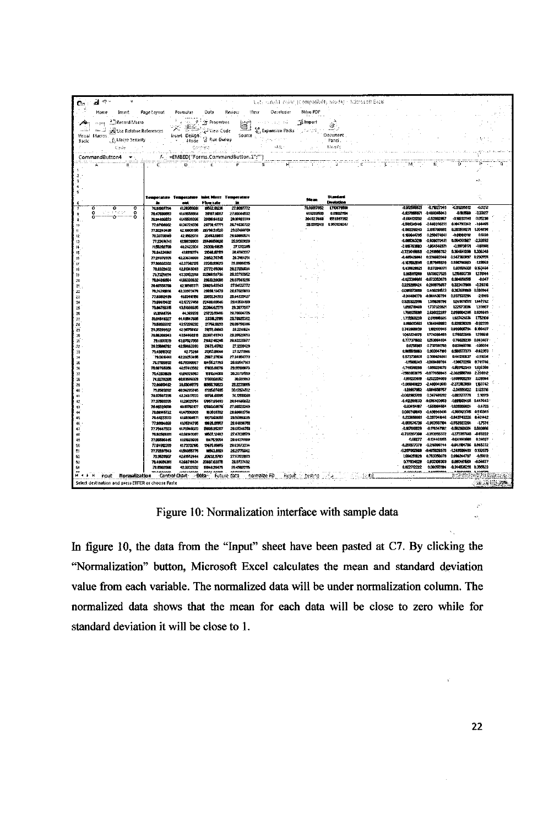| Car           | $\frac{1}{\sqrt{2}}$ $\approx$ $\frac{1}{\sqrt{2}}$ | $\overline{a}$                                        |                                                                           |                                                                                                                                                                                                                                                                                                                                                                                      |                                     |                               |                                                                                      |                            | itet, mneht sväxr (Compañadh) Mode) - Microsoft Easel |                         |  |                                |                                 |                                      |                            |                                                       |
|---------------|-----------------------------------------------------|-------------------------------------------------------|---------------------------------------------------------------------------|--------------------------------------------------------------------------------------------------------------------------------------------------------------------------------------------------------------------------------------------------------------------------------------------------------------------------------------------------------------------------------------|-------------------------------------|-------------------------------|--------------------------------------------------------------------------------------|----------------------------|-------------------------------------------------------|-------------------------|--|--------------------------------|---------------------------------|--------------------------------------|----------------------------|-------------------------------------------------------|
|               | Home                                                | Insert                                                | Page Layout                                                               | Formulas                                                                                                                                                                                                                                                                                                                                                                             | Data                                | Review                        | View                                                                                 | Developer                  | Nitro PDF                                             |                         |  |                                |                                 |                                      |                            |                                                       |
| $\rightarrow$ | <b>SECTION</b>                                      | <sup>3</sup> Record Macro                             |                                                                           |                                                                                                                                                                                                                                                                                                                                                                                      |                                     |                               |                                                                                      | service and the            | the con-<br><b>Fi</b> mport                           |                         |  |                                |                                 |                                      |                            |                                                       |
| الشاعب        | ت ے                                                 |                                                       | <b>E</b> Use Relative References                                          | $\begin{picture}(180,10) \put(0,0){\line(1,0){10}} \put(10,0){\line(1,0){10}} \put(10,0){\line(1,0){10}} \put(10,0){\line(1,0){10}} \put(10,0){\line(1,0){10}} \put(10,0){\line(1,0){10}} \put(10,0){\line(1,0){10}} \put(10,0){\line(1,0){10}} \put(10,0){\line(1,0){10}} \put(10,0){\line(1,0){10}} \put(10,0){\line(1,0){10}} \put(10,0){\line($                                  |                                     | 宣                             |                                                                                      |                            | Co Expansion Packs (Construction Construction)        |                         |  |                                |                                 |                                      |                            |                                                       |
| Visual        | Macros                                              | A Macro Security                                      |                                                                           | Insert Design                                                                                                                                                                                                                                                                                                                                                                        |                                     |                               | Source $\ _{b\in \mathbb{R}^3_{\geq 1},\mathbb{R}^3_{\geq 1},\mathbb{R}^3_{\geq 1}}$ |                            |                                                       | Document.<br>Panci.     |  |                                |                                 |                                      |                            |                                                       |
| Basic         |                                                     | Cade                                                  |                                                                           |                                                                                                                                                                                                                                                                                                                                                                                      | Carthers.                           | <b>Charles Control</b>        |                                                                                      | 法赶忙                        |                                                       | <sub>-2</sub> - Moddy   |  |                                |                                 |                                      |                            |                                                       |
|               |                                                     | والمتكيد سامات والمالي<br>CommandButton4 <del>-</del> |                                                                           | ili ya sensa Militir Indonesia. Timba di mwana m<br>/- = EMBED("Forms.CommandButton.1";"")                                                                                                                                                                                                                                                                                           |                                     |                               |                                                                                      |                            |                                                       |                         |  |                                |                                 |                                      |                            |                                                       |
|               |                                                     | 鳥 小山                                                  | $\overline{c}$                                                            | $\overline{C}$ $\overline{C}$ $\overline{C}$ $\overline{C}$ $\overline{C}$ $\overline{C}$ $\overline{C}$ $\overline{C}$ $\overline{C}$ $\overline{C}$ $\overline{C}$ $\overline{C}$ $\overline{C}$ $\overline{C}$ $\overline{C}$ $\overline{C}$ $\overline{C}$ $\overline{C}$ $\overline{C}$ $\overline{C}$ $\overline{C}$ $\overline{C}$ $\overline{C}$ $\overline{C}$ $\overline{$ |                                     |                               | ï.                                                                                   | $\mathbf{H}^{\text{even}}$ |                                                       |                         |  |                                |                                 |                                      |                            |                                                       |
|               |                                                     |                                                       |                                                                           |                                                                                                                                                                                                                                                                                                                                                                                      |                                     |                               |                                                                                      |                            |                                                       |                         |  |                                |                                 |                                      |                            |                                                       |
|               |                                                     |                                                       |                                                                           |                                                                                                                                                                                                                                                                                                                                                                                      |                                     |                               |                                                                                      |                            |                                                       |                         |  |                                |                                 |                                      |                            |                                                       |
|               |                                                     |                                                       |                                                                           |                                                                                                                                                                                                                                                                                                                                                                                      |                                     |                               |                                                                                      |                            |                                                       |                         |  |                                |                                 |                                      |                            |                                                       |
|               |                                                     |                                                       |                                                                           | Temperature Temperature                                                                                                                                                                                                                                                                                                                                                              |                                     | <b>Inset Mass Temperature</b> |                                                                                      |                            | <b>Mean</b>                                           | Standard                |  |                                |                                 |                                      |                            |                                                       |
|               | $\overline{\mathbf{o}}$                             | o<br>ō                                                | 7651907794                                                                | œ<br>4120309601                                                                                                                                                                                                                                                                                                                                                                      | Flow rate<br>19562.01236            | ż.<br>27.9097772              |                                                                                      |                            | 78,00017662                                           | Deviation<br>1710679608 |  | -0.912500521                   | $-0.71027346$                   | -0.59280512                          | -0.2212                    |                                                       |
|               | Ω<br>n                                              | stelland and<br>$\bullet$<br>Ċ.<br>o                  | 78.47680863                                                               | <b>4149505056</b>                                                                                                                                                                                                                                                                                                                                                                    | 20122-0017                          | 27.80044592                   |                                                                                      |                            | 418230500                                             | 0.8002104               |  | -0.037068971                   | -0.188015043                    | 0.193500                             | $-0.37617$                 |                                                       |
|               |                                                     |                                                       | 76.94109073                                                               | 4145599356                                                                                                                                                                                                                                                                                                                                                                           | 20196.04332                         | 29 ISSN 2389                  |                                                                                      |                            | 20132.7819                                            | 1551597352              |  | -0.864131292                   | -0.52092857                     | $-0.98233141$                        | 0.00238<br>-144465         |                                                       |
|               |                                                     |                                                       | 77.07198902<br>77.92243436                                                | 11.347.24036<br>12,10005105                                                                                                                                                                                                                                                                                                                                                          | 20730.47771<br>2079013528           | 26.74636722<br>29.87489391    |                                                                                      |                            | 28.120124.1                                           | 0.950828247             |  | -0.589349146<br>0.082210213    | 4.8403.823.<br>0.195700992      | 0.894793342<br>0.203500271           | 1004036                    |                                                       |
| 12            |                                                     |                                                       | 78.33798149                                                               | 42.19826114                                                                                                                                                                                                                                                                                                                                                                          | 20453.58511                         | 28.60980574                   |                                                                                      |                            |                                                       |                         |  | 0.150644795                    | 0.250974641                     | -0.018919112                         | 0.5139                     |                                                       |
| 13            |                                                     |                                                       | 77.50414741                                                               | 11,106,3080.3                                                                                                                                                                                                                                                                                                                                                                        | 2010050626                          | 25.91309189                   |                                                                                      |                            |                                                       |                         |  | 1.000363210                    | -0.039070431                    | 0.004331967                          | 232032                     |                                                       |
| $\mathbf{u}$  |                                                     |                                                       | 7155292739                                                                | 102122831                                                                                                                                                                                                                                                                                                                                                                            | 20309.41835                         | 27,1313385                    |                                                                                      |                            |                                                       |                         |  | -3.815763503                   | -1054546371                     | -0.117734771<br>0.364841250          | $-100000$<br>1.306.349     |                                                       |
| 15<br>16      |                                                     |                                                       | 16.84224861<br>7724976335                                                 | 415315374<br>42.23634889                                                                                                                                                                                                                                                                                                                                                             | 21046.07199<br>2115270745           | 28.41143917<br>20.3964214     |                                                                                      |                            |                                                       |                         |  | -1.723648065<br>0.495426941    | -0.281008782<br>0336663340      | 0.917300937                          | 0.290958                   |                                                       |
| 17            |                                                     |                                                       | 77.90032202                                                               | 42.07382125                                                                                                                                                                                                                                                                                                                                                                          | 22013.83623                         | 26.83801215                   |                                                                                      |                            |                                                       |                         |  | $-0.163632536$                 | 0.157855228                     | 0.595796983                          | $-123563$                  |                                                       |
| 昸             |                                                     |                                                       | 78.8322402                                                                | 12.01345043                                                                                                                                                                                                                                                                                                                                                                          | 2177245084                          | 2027006084                    |                                                                                      |                            |                                                       |                         |  | 14362821                       | 1,970946171                     | 0.03180031                           | 0.163464                   |                                                       |
| t9            |                                                     |                                                       | 79.77254114                                                               | 4233102559                                                                                                                                                                                                                                                                                                                                                                           | 22309.59730                         | 29.32733962                   |                                                                                      |                            |                                                       |                         |  | 0.95591200                     | 1539827525                      | 1215400718<br>0.004058515            | 1271148<br>$-0.047$        |                                                       |
| 20            |                                                     |                                                       | 780401084<br>78.465.56764                                                 | 4210565371                                                                                                                                                                                                                                                                                                                                                                           | 4186320632 2061320686<br>20022-0003 | 20.07643258<br>27.04122772    |                                                                                      |                            |                                                       |                         |  | 1023300081<br>0225205424       | $-0.073353676$<br>0.280975657   | 0223417908                           | -026318                    |                                                       |
| 21<br>22      |                                                     |                                                       | 78,2429,000                                                               | 42.33973476                                                                                                                                                                                                                                                                                                                                                                          | 20891.13479                         | 28.97020033                   |                                                                                      |                            |                                                       |                         |  | 0.005073059                    | 0.450291573                     | 0.267601869 0.893944                 |                            |                                                       |
| 53            |                                                     |                                                       | 77.83012489                                                               | 1103410156                                                                                                                                                                                                                                                                                                                                                                           | 2085L14703                          | 20.44336427                   |                                                                                      |                            |                                                       |                         |  | <b>GREENHALD</b>               | -0.364436794                    | 0237537204                           | $-2.0145$                  |                                                       |
| 24            |                                                     |                                                       | 7988410402                                                                | 13.12727150                                                                                                                                                                                                                                                                                                                                                                          | 2210913540                          | 214900499                     |                                                                                      |                            |                                                       |                         |  | 1925122910                     | 138610706                       | 1241970571                           | 1447762<br>131057          |                                                       |
| 25<br>26      |                                                     |                                                       | 79.00703315<br>8110148764                                                 | 43.51096695<br>44.369528                                                                                                                                                                                                                                                                                                                                                             | 22304.62579<br>23739.9418           | 29.3677007<br>23,703,4705     |                                                                                      |                            |                                                       |                         |  | 1056719469<br>1,760135090      | 1737323321<br>2.690122297       | 1225731014<br>2.000004205 0.609049   |                            |                                                       |
| 27            |                                                     |                                                       | BL04849327                                                                | 44,49547805                                                                                                                                                                                                                                                                                                                                                                          | 23310 21190                         | 29.70625362                   |                                                                                      |                            |                                                       |                         |  | 1,736169259                    | 2.819100326                     | 1027424614                           | 1702109                    |                                                       |
| 28            |                                                     |                                                       | 7959526312                                                                | 43.17289232                                                                                                                                                                                                                                                                                                                                                                          | 21768.10213                         | 20.09766386                   |                                                                                      |                            |                                                       |                         |  | 0.889013561                    | 1,364848883                     | 0.021806328                          | -0.02339                   |                                                       |
| 29            |                                                     |                                                       | 7125239922<br>79.98309943                                                 | 1297758102<br>4354468919                                                                                                                                                                                                                                                                                                                                                             | 21879.01803<br>22387.43743          | 202211624<br>29.35520653      |                                                                                      |                            |                                                       |                         |  | 0.743908839<br>1012221878      | 1,8621,11946<br>1774388489      | 0.033000794<br>1176022008            | 0.109407<br>1290210        |                                                       |
| 30<br>31      |                                                     |                                                       | 79.41007015                                                               | 43.07027003                                                                                                                                                                                                                                                                                                                                                                          | 2166245246                          | 20.92220077                   |                                                                                      |                            |                                                       |                         |  | 0.77737602                     | 1253064934                      | 0.76029238 0.943467                  |                            |                                                       |
| 32            |                                                     |                                                       | 7923500702                                                                | 12.59663393                                                                                                                                                                                                                                                                                                                                                                          | 21473 41782                         | 27.1209429                    |                                                                                      |                            |                                                       |                         |  | 0.6750001                      | 0732591758                      | 0.83040018                           | -106074                    |                                                       |
| 33            |                                                     |                                                       | 7945016302                                                                | 42.75248                                                                                                                                                                                                                                                                                                                                                                             | 21353.01644                         | 27.5271946                    |                                                                                      |                            |                                                       |                         |  | 1,005519953<br>0.573730831     | 0.903847188<br>0.386424841      | 0.581377373<br>0.4126.637            | $-0.62353$<br>0.11036      |                                                       |
| 34<br>35      |                                                     |                                                       | 79.0616461<br>76.17125932                                                 | 4228253495<br>40.78280867                                                                                                                                                                                                                                                                                                                                                            | 2167.27634<br>D15527763             | 27:3490,4773<br>28,825-7143   |                                                                                      |                            |                                                       |                         |  | -111508243                     | -1260489704                     | -136672266                           | 0.741746                   |                                                       |
| 36            |                                                     |                                                       | 76.09765356                                                               | 40:57413582                                                                                                                                                                                                                                                                                                                                                                          | 17005.81076                         | 29.95198073                   |                                                                                      |                            |                                                       |                         |  | -1,749318238                   | $-1050331678$                   | -1.061762343                         | 1926308                    |                                                       |
| 37            |                                                     |                                                       | 754290829                                                                 | 4104026963                                                                                                                                                                                                                                                                                                                                                                           | 15010-1002                          | 20120717689                   |                                                                                      |                            |                                                       |                         |  | 1560363075                     | 0.377658845                     | -2.102090783                         | 2290012                    |                                                       |
| 38            |                                                     |                                                       | 74,82782611<br>72.00013452                                                | 10,837,89329<br>39.89046179                                                                                                                                                                                                                                                                                                                                                          | 1789160952<br>16555,75523           | 30,099113<br>23.22.3086       |                                                                                      |                            |                                                       |                         |  | -1,901203819<br>$-3.080040823$ | -1202254009<br>-2.100910619     | -1,608000203<br>-2.273163933         | 2,081144<br>180742         |                                                       |
| 39<br>40      |                                                     |                                                       | 75.8563202                                                                | 10.94209745                                                                                                                                                                                                                                                                                                                                                                          | 1735.67495                          | 30.13324512                   |                                                                                      |                            |                                                       |                         |  | 120937872                      | 1004650757                      | -2.041193122                         | 2.123316                   |                                                       |
| 41            |                                                     |                                                       | 78.07507236                                                               | 42.24617633                                                                                                                                                                                                                                                                                                                                                                          | 18780.81305                         | 30,12581201                   |                                                                                      |                            |                                                       |                         |  | -0.002983709                   | 0.347481392                     | $-1.093177778$                       | 210919                     |                                                       |
| 42            |                                                     |                                                       | 77.37503335                                                               | 4123629754                                                                                                                                                                                                                                                                                                                                                                           | 17057.1949.                         | 20.64500022                   |                                                                                      |                            |                                                       |                         |  | -1.12200633                    | 0.686403860                     | 1009065465<br>-1920389024            | 0.447043<br>$-0.4783$      |                                                       |
| 43<br>44      |                                                     |                                                       | 76.40220008<br>78.00145722                                                | 40.07702177<br>4147596809                                                                                                                                                                                                                                                                                                                                                            | 17503.09876<br>46361, 0702          | 27.66523249<br>20.60603758    |                                                                                      |                            |                                                       |                         |  | 0.83484197<br>0.000748643      | -1561964554<br>$-0.4503 - 6416$ | -12682335                            | 0.513989                   |                                                       |
| 45            |                                                     |                                                       | 7846277013                                                                | 1155364571                                                                                                                                                                                                                                                                                                                                                                           | 1017312800                          | 29.50196535                   |                                                                                      |                            |                                                       |                         |  | 0.222650081                    | -0.207041646                    | -0.613742226                         | 0.601442                   |                                                       |
| 46            |                                                     |                                                       | 77,93194868                                                               | 4105314795                                                                                                                                                                                                                                                                                                                                                                           | 19625.01957                         | 26,44896761                   |                                                                                      |                            |                                                       |                         |  | -0.051674738                   | -0.963507184                    | -0.552827204                         | $-17574$                   |                                                       |
| 47<br>48      |                                                     |                                                       | 77.79447503<br>76,82569381                                                | 41.7684802.3<br>10.67143057.                                                                                                                                                                                                                                                                                                                                                         | 19808-25207<br>100212403            | 28.65316761<br>27.47116579    |                                                                                      |                            |                                                       |                         |  | 0.167010629<br>1.733207300     | -0.178347982<br>-1353975372     | -0.582988314 0.580066<br>-1273307041 | 0.08222                    |                                                       |
| 49            |                                                     |                                                       | 77,96536445                                                               | 4101669689                                                                                                                                                                                                                                                                                                                                                                           | 19475.0654                          | 29.44379189                   |                                                                                      |                            |                                                       |                         |  | -0.08677                       | $-0.124461955$                  | -0.649149981                         | 0.34037                    |                                                       |
| 50            |                                                     |                                                       | 77.64.72399                                                               | 11/3382175                                                                                                                                                                                                                                                                                                                                                                           | 19678.61699                         | 20.63973434                   |                                                                                      |                            |                                                       |                         |  | -0.251977978                   | -0.216000744                    | 0.04784786 0.545372                  |                            |                                                       |
| 51            |                                                     |                                                       | 772597543                                                                 | 4156055775                                                                                                                                                                                                                                                                                                                                                                           | 46543 81121                         | 282177042                     |                                                                                      |                            |                                                       |                         |  | 1207052000                     | $-0.405928976$                  | -1213590453                          | 0.102375                   |                                                       |
| 53<br>53      |                                                     |                                                       | 79.9520907<br>79.40624391                                                 | 42.81552444<br>1260719431                                                                                                                                                                                                                                                                                                                                                            | 20632.11703<br>20097.02976          | 27.63122803<br>28.0737492     |                                                                                      |                            |                                                       |                         |  | 108425929<br>0.77534529        | 0.753350078<br>0.032106369      | 0.056264707<br>0.000161508           | <b>JAR STR</b><br>-0.01977 |                                                       |
| 54            |                                                     |                                                       | 78.1902596                                                                | 12.0032632                                                                                                                                                                                                                                                                                                                                                                           | 19948.20176                         | 20.4502015                    |                                                                                      |                            |                                                       |                         |  | 0.02270222                     | 0.000551194                     | $-0.3 + 4536281$ 0.355723            |                            |                                                       |
| <b>.</b>      |                                                     |                                                       | بمصححصه<br>nput Normalization Control Chart Data Future data normalize FD |                                                                                                                                                                                                                                                                                                                                                                                      | <b>INANS ANNA</b>                   | <b>ARPARTMENT</b>             |                                                                                      | Result                     |                                                       |                         |  | معتصدت                         | <b>A ANTIFICAL</b>              | <b>SANCHORN BERG</b>                 |                            |                                                       |
|               |                                                     |                                                       | Select destination and press ENTER or choose Paste                        |                                                                                                                                                                                                                                                                                                                                                                                      |                                     |                               |                                                                                      |                            |                                                       |                         |  |                                |                                 |                                      |                            | $\mathbb{Z}$ in the $\mathbb{Z}$ denotes $\mathbb{Z}$ |
|               |                                                     |                                                       |                                                                           |                                                                                                                                                                                                                                                                                                                                                                                      |                                     |                               |                                                                                      |                            |                                                       |                         |  |                                |                                 |                                      |                            |                                                       |

Figure 10: Normalization interface with sample data

In figure 10, the data from the "Input" sheet have been pasted at C7. By clicking the "Normalization" button, Microsoft Excel calculates the mean and standard deviation value from each variable. The normalized data will be under normalization column. The normalized data shows that the mean for each data will be close to zero while for standard deviation it will be close to 1.

ŗ.

 $\mathcal{L}$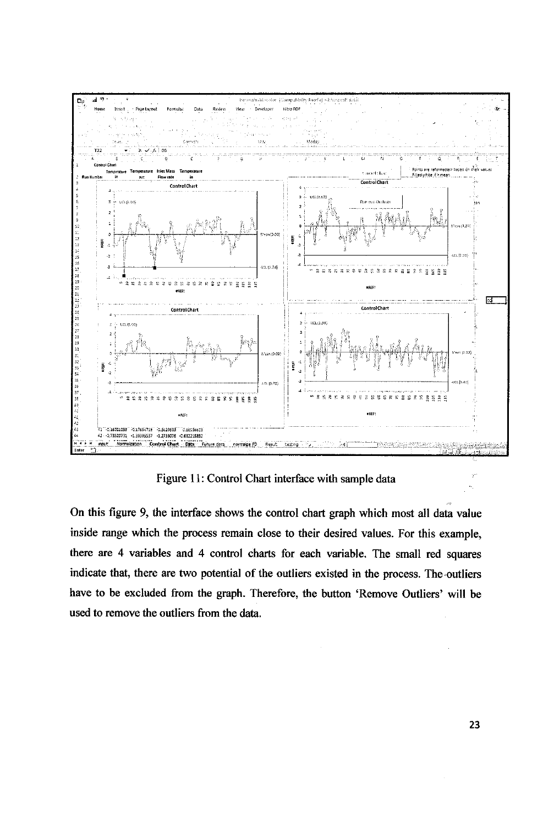

Figure 11: Control Chart interface with sample data

On this figure 9, the interface shows the control chart graph which most all data value inside range which the process remain close to their desired values. For this example, there are 4 variables and 4 control charts for each variable. The small red squares indicate that, there are two potential of the outliers existed in the process. The outliers have to be excluded from the graph. Therefore, the button 'Remove Outliers' will be used to remove the outliers from the data.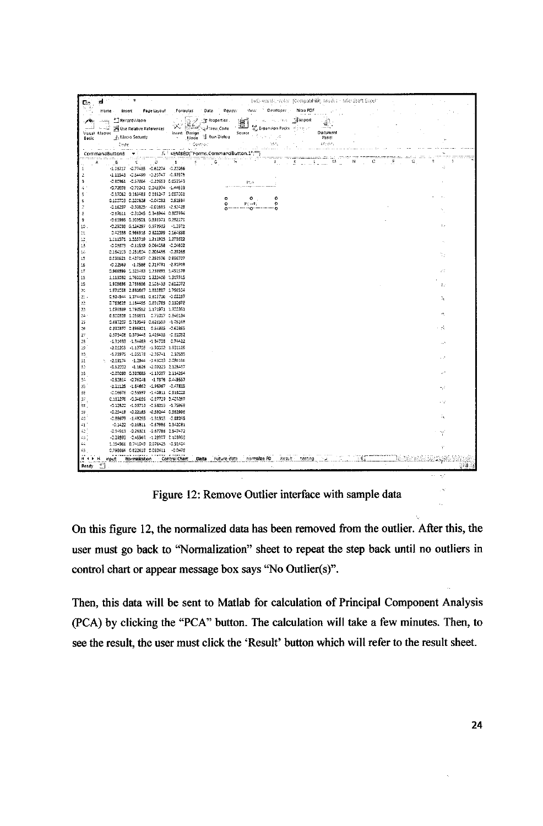| G.         | the company<br>ad ∴                                                                                                                                                                                                                                                                                                                                                                                                                                                                                                                                                                                         |                                                                  |                                                | belo-usuald, -color (Compatibility Iviode) - Microsoft Excel                                     |                       |
|------------|-------------------------------------------------------------------------------------------------------------------------------------------------------------------------------------------------------------------------------------------------------------------------------------------------------------------------------------------------------------------------------------------------------------------------------------------------------------------------------------------------------------------------------------------------------------------------------------------------------------|------------------------------------------------------------------|------------------------------------------------|--------------------------------------------------------------------------------------------------|-----------------------|
| 독화         | Home Insert                                                                                                                                                                                                                                                                                                                                                                                                                                                                                                                                                                                                 | Page Layout Formulas Data                                        | View Developer - Nitro PDF<br>Renew            |                                                                                                  |                       |
| ZУ.        |                                                                                                                                                                                                                                                                                                                                                                                                                                                                                                                                                                                                             |                                                                  |                                                |                                                                                                  |                       |
|            |                                                                                                                                                                                                                                                                                                                                                                                                                                                                                                                                                                                                             |                                                                  |                                                | um.                                                                                              |                       |
|            | Michael Liarroc                                                                                                                                                                                                                                                                                                                                                                                                                                                                                                                                                                                             |                                                                  |                                                | Decument                                                                                         |                       |
| Basic      | $\begin{array}{lllllll} \sqrt{\frac{2}{\pi}} & \text{where } \mathcal{L} \text{ is a constant}\\ \text{if } \mathcal{L} \text{ is a constant}\\ \text{if } \mathcal{L} \text{ is a constant}\\ \text{if } \mathcal{L} \text{ is a constant}\\ \text{if } \mathcal{L} \text{ is a constant}\\ \text{if } \mathcal{L} \text{ is a constant}\\ \text{if } \mathcal{L} \text{ is a constant}\\ \text{if } \mathcal{L} \text{ is a constant}\\ \text{if } \mathcal{L} \text{ is a constant}\\ \text{if } \mathcal{L} \text{ is a constant}\\ \text{if } \mathcal{L} \text{ is a constant}\\ \$<br>Code Committee |                                                                  | - 1855.                                        | Panel<br>Africa,                                                                                 |                       |
|            | والانتشابيب الأرواس للمراد                                                                                                                                                                                                                                                                                                                                                                                                                                                                                                                                                                                  | i Controllis (1999)<br>Supra la Santonio (1999)                  | and a con-                                     | المحاربة والمتحدث والمستعملة والمتحدة والمستحقق والمتأول والأراد والمتحدث والمتحدث               |                       |
|            | CommandButton3 -<br><del>nima mata</del> sa saning<br>A                                                                                                                                                                                                                                                                                                                                                                                                                                                                                                                                                     | $f_k$ : $\in$ EMBED("Forms.CommandButton.1";"")<br>$\frac{1}{2}$ |                                                | <u> Herbert Herbertsminister (21. 127. 177.) var har frammatiska statistik (20. 122. 123. 12</u> |                       |
|            | $\mathfrak{D}$                                                                                                                                                                                                                                                                                                                                                                                                                                                                                                                                                                                              | 老人的 医心包 医下颌<br>$E = 1$                                           |                                                | - 『山山の勝山山山』の「一神」の中に、「息」の                                                                         |                       |
| 2          | -1.03717 -0.77435 -0.62274 -0.22056<br>$-1.11543 - 0.54499 - 0.20747 - 0.33575$                                                                                                                                                                                                                                                                                                                                                                                                                                                                                                                             |                                                                  |                                                |                                                                                                  |                       |
| э          | -0.80961 -0.57864 -0.20683 0.053543                                                                                                                                                                                                                                                                                                                                                                                                                                                                                                                                                                         |                                                                  | <b>ISLA</b>                                    |                                                                                                  |                       |
| 41         | -0.72606 -0.70241 0.145374 -1.44633                                                                                                                                                                                                                                                                                                                                                                                                                                                                                                                                                                         |                                                                  |                                                |                                                                                                  |                       |
| 5          | -0.17062 0.163483 0.185247 1.007008                                                                                                                                                                                                                                                                                                                                                                                                                                                                                                                                                                         | $\circ$                                                          | $\bullet$<br>۰                                 |                                                                                                  |                       |
| ε          | 0.100709 0.220628 -0.04032 0.51594<br>-0.16297 -0.90825 -0.01683 -2.32428                                                                                                                                                                                                                                                                                                                                                                                                                                                                                                                                   | $\circ$                                                          | ò<br><b>Roads</b>                              |                                                                                                  |                       |
| 7<br>÷     | -0.87611 -0.31045 0.348944 0.507994                                                                                                                                                                                                                                                                                                                                                                                                                                                                                                                                                                         | o-                                                               |                                                |                                                                                                  |                       |
| 9          | -0.60999 0.309501 0.939971 0.292171                                                                                                                                                                                                                                                                                                                                                                                                                                                                                                                                                                         |                                                                  |                                                |                                                                                                  |                       |
| 10         | -0.25CB5 0.124297 0.979933 -1.2971                                                                                                                                                                                                                                                                                                                                                                                                                                                                                                                                                                          |                                                                  |                                                |                                                                                                  | $\sim$                |
| 11         | 0.42358 0.966315 0.822099 0.164898                                                                                                                                                                                                                                                                                                                                                                                                                                                                                                                                                                          |                                                                  |                                                |                                                                                                  |                       |
| $12$       | 1.012576 1.555719 1.211925 1.278622<br>-0.09373 -0.11513 0.064053 -0.04602                                                                                                                                                                                                                                                                                                                                                                                                                                                                                                                                  |                                                                  |                                                |                                                                                                  |                       |
| 13<br>14   | 0.184103 0.251804 0.205455 -0.29268                                                                                                                                                                                                                                                                                                                                                                                                                                                                                                                                                                         |                                                                  |                                                |                                                                                                  |                       |
| 15         | 0.038621 0.427167 0.250376 0.896707                                                                                                                                                                                                                                                                                                                                                                                                                                                                                                                                                                         |                                                                  |                                                |                                                                                                  | q,                    |
| 16         | -0.22569 -1.0588 0.719781 -2.81919                                                                                                                                                                                                                                                                                                                                                                                                                                                                                                                                                                          |                                                                  |                                                |                                                                                                  |                       |
| $17$       | 0.966399 2.323483 1.238891 1.451579                                                                                                                                                                                                                                                                                                                                                                                                                                                                                                                                                                         |                                                                  |                                                |                                                                                                  | 77                    |
| 13<br>19   | 1.113032 1.760172 1.222406 1.315515<br>1,905636 2,756636 2,108433 0,612072                                                                                                                                                                                                                                                                                                                                                                                                                                                                                                                                  |                                                                  |                                                |                                                                                                  |                       |
| 26         | 1.971038 2.880667 1.832887 1.756504                                                                                                                                                                                                                                                                                                                                                                                                                                                                                                                                                                         |                                                                  |                                                |                                                                                                  | -17                   |
| $22 -$     | 0.924544 1.374491 0.812716 -0.02237                                                                                                                                                                                                                                                                                                                                                                                                                                                                                                                                                                         |                                                                  |                                                |                                                                                                  | Ъ,                    |
| -22        | 0.763628 1.164495 0.891785 0.110578                                                                                                                                                                                                                                                                                                                                                                                                                                                                                                                                                                         |                                                                  |                                                |                                                                                                  |                       |
| -23        | 1.095539 1.793552 2.171971 1.302351<br>0.800928 1.258611 0.75017 0.846134                                                                                                                                                                                                                                                                                                                                                                                                                                                                                                                                   |                                                                  |                                                |                                                                                                  | $\boldsymbol{\kappa}$ |
| $24$<br>25 | 0.687207 0.719549 0.626559 -1.0516B                                                                                                                                                                                                                                                                                                                                                                                                                                                                                                                                                                         |                                                                  |                                                |                                                                                                  |                       |
| 35         | 0.832377 0.896921 0.54335 0.62365                                                                                                                                                                                                                                                                                                                                                                                                                                                                                                                                                                           |                                                                  |                                                |                                                                                                  | + A                   |
| $27\,$     | 0.573402 0.373448 0.426435 -C.B1DE2                                                                                                                                                                                                                                                                                                                                                                                                                                                                                                                                                                         |                                                                  |                                                |                                                                                                  |                       |
| 23         | -1.31433 -1.34469 -1.34703 0.74422                                                                                                                                                                                                                                                                                                                                                                                                                                                                                                                                                                          |                                                                  |                                                |                                                                                                  |                       |
| 迳<br>30    | -2.02205 -1.12705 -1.90002 1.931125<br>-1.73975 -1.05178 -2.35741 2.30535                                                                                                                                                                                                                                                                                                                                                                                                                                                                                                                                   |                                                                  |                                                |                                                                                                  |                       |
| 51         | 1 -2.19174 -1.2844 -1.65023 2.086166                                                                                                                                                                                                                                                                                                                                                                                                                                                                                                                                                                        |                                                                  |                                                |                                                                                                  | $\sim$                |
| 32         | -1.52002 -1.1626 -2.09223 2.128417                                                                                                                                                                                                                                                                                                                                                                                                                                                                                                                                                                          |                                                                  |                                                |                                                                                                  |                       |
| 36         | -0.07093    5.320685    -1.13087    2.114264                                                                                                                                                                                                                                                                                                                                                                                                                                                                                                                                                                |                                                                  |                                                |                                                                                                  | $\pm$ .               |
| 34<br>35   | -0.52814 -0.76048 -1.7376 0.449557<br>$-1.11125 - 1.64662 - 1.96967 - 2.47215$                                                                                                                                                                                                                                                                                                                                                                                                                                                                                                                              |                                                                  |                                                |                                                                                                  |                       |
| 3E         | -0.06676 -0.55597 -1.40811 0.518028                                                                                                                                                                                                                                                                                                                                                                                                                                                                                                                                                                         |                                                                  |                                                |                                                                                                  | W                     |
| 37         | 0.182276 -0.34686 -0.87729 0.423269                                                                                                                                                                                                                                                                                                                                                                                                                                                                                                                                                                         |                                                                  |                                                |                                                                                                  |                       |
| 35         | -0.12522 -1.03713 -0.53213 -1.75968                                                                                                                                                                                                                                                                                                                                                                                                                                                                                                                                                                         |                                                                  |                                                |                                                                                                  | -17                   |
| 39         | -0.25419 -0.22185 -0.59244 0.562996                                                                                                                                                                                                                                                                                                                                                                                                                                                                                                                                                                         |                                                                  |                                                |                                                                                                  |                       |
| 40<br>$-1$ | -0.98679 -1.48295 -1.31313 -0.69245<br>-0.1422 -0.16811 -0.679B6 0.342081                                                                                                                                                                                                                                                                                                                                                                                                                                                                                                                                   |                                                                  |                                                |                                                                                                  |                       |
| 42         | -0.94913 -0.26301 -0.67786 0.547472                                                                                                                                                                                                                                                                                                                                                                                                                                                                                                                                                                         |                                                                  |                                                |                                                                                                  |                       |
| 4G         | -0.29893 -0.45965 -1.28907 0.103936                                                                                                                                                                                                                                                                                                                                                                                                                                                                                                                                                                         |                                                                  |                                                |                                                                                                  |                       |
|            | 1.154966 0.741049 0.076425 0.51404                                                                                                                                                                                                                                                                                                                                                                                                                                                                                                                                                                          |                                                                  |                                                |                                                                                                  |                       |
| 45         | 0.798664 0.822618 0.060411 -0.0478                                                                                                                                                                                                                                                                                                                                                                                                                                                                                                                                                                          |                                                                  |                                                |                                                                                                  |                       |
| $H + F$    | input Normalization                                                                                                                                                                                                                                                                                                                                                                                                                                                                                                                                                                                         | Control Chart                                                    | <b>Data</b> Future data normalize FD<br>Result | testing                                                                                          |                       |
| Ready      | 31                                                                                                                                                                                                                                                                                                                                                                                                                                                                                                                                                                                                          |                                                                  |                                                |                                                                                                  |                       |

Figure 12: Remove Outlier interface with sample data

On this figure 12, the normalized data has been removed from the outlier. After this, the user must go back to "Normalization" sheet to repeat the step back until no outliers in control chart or appear message box says "No Outlier(s)".

Then, this data will be sent to Matlab for calculation of Principal Component Analysis (PCA) by clicking the "PCA" button. The calculation will take a few minutes. Then, to see the result, the user must click the 'Result' button which will refer to the result sheet.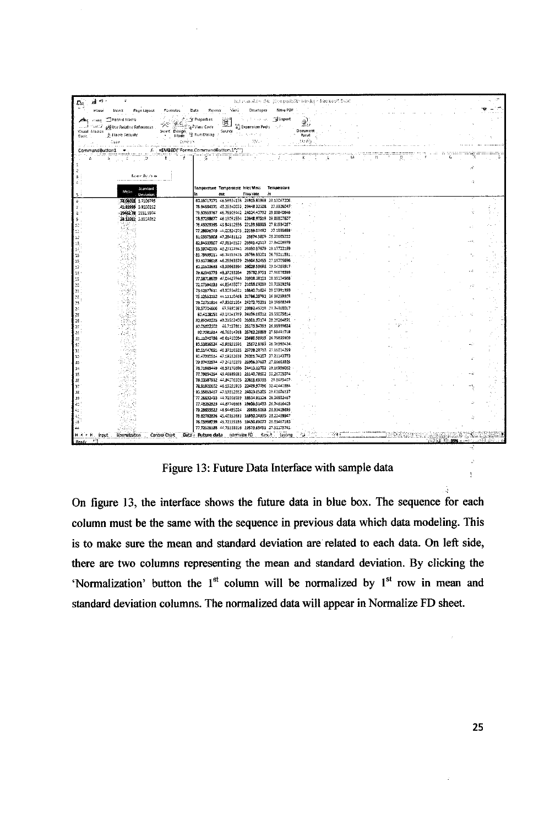| 급 9 -<br>Dα∵                                   |                                                                                                                                                                                                                                                                                                                                                                             | Bellshamskien (Mr. (Compatibility Mode) - Nacrosoft Excel |               |           |                                                             |  |
|------------------------------------------------|-----------------------------------------------------------------------------------------------------------------------------------------------------------------------------------------------------------------------------------------------------------------------------------------------------------------------------------------------------------------------------|-----------------------------------------------------------|---------------|-----------|-------------------------------------------------------------|--|
| ني پ                                           |                                                                                                                                                                                                                                                                                                                                                                             |                                                           | $\sim$ $\sim$ |           |                                                             |  |
| ∠nea raza el Record Macro                      | $\begin{picture}(150,100) \put(0,0){\vector(1,0){100}} \put(0,0){\vector(1,0){100}} \put(0,0){\vector(1,0){100}} \put(0,0){\vector(1,0){100}} \put(0,0){\vector(1,0){100}} \put(0,0){\vector(1,0){100}} \put(0,0){\vector(1,0){100}} \put(0,0){\vector(1,0){100}} \put(0,0){\vector(1,0){100}} \put(0,0){\vector(1,0){100}} \put(0,0){\vector(1,0){100}} \put(0,0){\vector$ |                                                           |               |           |                                                             |  |
|                                                |                                                                                                                                                                                                                                                                                                                                                                             |                                                           |               |           |                                                             |  |
|                                                |                                                                                                                                                                                                                                                                                                                                                                             |                                                           | Document      |           |                                                             |  |
| Visual Macros (Albert Seculary Sasic           |                                                                                                                                                                                                                                                                                                                                                                             |                                                           | . Panel       |           |                                                             |  |
| las<br>Santa Casa (Casarina da Santa Casarina) |                                                                                                                                                                                                                                                                                                                                                                             |                                                           | ನಿಂದಕ್ಕೆ      |           |                                                             |  |
|                                                |                                                                                                                                                                                                                                                                                                                                                                             |                                                           |               |           |                                                             |  |
|                                                |                                                                                                                                                                                                                                                                                                                                                                             |                                                           |               | ROSSIE DI |                                                             |  |
|                                                |                                                                                                                                                                                                                                                                                                                                                                             |                                                           |               |           |                                                             |  |
| <b>Teatroficinos</b>                           |                                                                                                                                                                                                                                                                                                                                                                             |                                                           |               |           |                                                             |  |
|                                                |                                                                                                                                                                                                                                                                                                                                                                             |                                                           |               |           | $\mathcal{L}$                                               |  |
|                                                | Temperature Temperature Inlet Mass Temperature<br>Standard:                                                                                                                                                                                                                                                                                                                 |                                                           |               |           |                                                             |  |
| Méan                                           | out<br>. Deviation                                                                                                                                                                                                                                                                                                                                                          | Flow rate in                                              |               |           |                                                             |  |
| 78.06018 1.7106795<br>ē.                       | 80.13717271 46.58934138 24915.83968 28.13D472D6                                                                                                                                                                                                                                                                                                                             |                                                           |               |           |                                                             |  |
| 4192995 0.9100212                              | 78.94684171 45.26340073 23448.32108 27.5526047:                                                                                                                                                                                                                                                                                                                             |                                                           |               |           |                                                             |  |
| 2045278 1551.5974                              | 79.50559767 46.76509442 24024.40732 23.83840646                                                                                                                                                                                                                                                                                                                             |                                                           |               |           |                                                             |  |
| 28.12012 0.9509272                             | 78.57298677 46.19091534 22648.97519 29.89B076D7                                                                                                                                                                                                                                                                                                                             |                                                           |               |           |                                                             |  |
|                                                | 76.43929365 43.94312536 22133.98935 27.61534267<br>77.28896749 44.00824278 22159.07482 27.1335659                                                                                                                                                                                                                                                                           |                                                           |               |           |                                                             |  |
| 12                                             | 91/03575908 47.28481112 25674.5809 28.23665222                                                                                                                                                                                                                                                                                                                              |                                                           |               |           |                                                             |  |
| 13                                             | 82 94333907 47.98148527 25991.42517 27.84009979                                                                                                                                                                                                                                                                                                                             |                                                           |               |           |                                                             |  |
| 14.                                            | BB 59740555 49.23117841 25390.57679 29.17722199                                                                                                                                                                                                                                                                                                                             |                                                           |               |           |                                                             |  |
| 15                                             | 21.79699211 46.74353475 25786.93201 26.75011831.                                                                                                                                                                                                                                                                                                                            |                                                           |               |           |                                                             |  |
| 15                                             | 80.50706018 -6.25563379 25302.52455 27.18705696                                                                                                                                                                                                                                                                                                                             |                                                           |               |           |                                                             |  |
| 17<br>13                                       | 80.21509683 48.99663994 25029.59698 29.04.263517-<br>79.82345775 48.37293264 25782.9751 27.96678399                                                                                                                                                                                                                                                                         |                                                           |               |           |                                                             |  |
| 39                                             | 77.58718629 47.04427944 23938.38101 28.35174565                                                                                                                                                                                                                                                                                                                             |                                                           |               |           |                                                             |  |
| 20                                             | 72.07594393 44.85438077 21058.09059 29.72929276                                                                                                                                                                                                                                                                                                                             |                                                           |               |           |                                                             |  |
| $\mathfrak{U}$                                 | 75.62677611 43.80834821 16640.71624 29.07991859                                                                                                                                                                                                                                                                                                                             |                                                           |               |           |                                                             |  |
| 22                                             | 75.12552152 44.1111046B 217B6.25792 26.38299303                                                                                                                                                                                                                                                                                                                             |                                                           |               |           |                                                             |  |
| 23                                             | 79.02751914 47.93651264 24272.75291 29.35688249                                                                                                                                                                                                                                                                                                                             |                                                           |               |           |                                                             |  |
| 2 <sup>2</sup><br>25                           | 78.57704666 47.5980397 23082.45219 29.74360017<br>80.4108153 48.18241789 24899.DBS12 28.38075814                                                                                                                                                                                                                                                                            |                                                           |               |           |                                                             |  |
| æ.                                             | 80.85040225 48.23502403 25001.37174 28.25264891                                                                                                                                                                                                                                                                                                                             |                                                           |               |           |                                                             |  |
| 27                                             | 80.05802202 46.7157861 25173.94793 26.95959624                                                                                                                                                                                                                                                                                                                              |                                                           |               |           |                                                             |  |
| 25.3                                           | BC.7021814 46.7601476B 25762.26B98 27.5549171B                                                                                                                                                                                                                                                                                                                              |                                                           |               |           |                                                             |  |
| 29                                             | 81.11040786 46.61410064 25680.58915 26.75825909                                                                                                                                                                                                                                                                                                                             |                                                           |               |           |                                                             |  |
| 32                                             | 8053235524 45.93853596 25672.8993 26.36980424                                                                                                                                                                                                                                                                                                                               |                                                           |               |           |                                                             |  |
| 31<br>32                                       | 80.51447651 46.37316535 25739.28713 27.15014259<br>80,47000514 47,19232638 25001.74207 27.81143773                                                                                                                                                                                                                                                                          |                                                           |               |           |                                                             |  |
| 33                                             | 79.97403974 47.24270279 25996.97637 27.19663925                                                                                                                                                                                                                                                                                                                             |                                                           |               |           |                                                             |  |
| 34                                             | 78.71665449 46.57170396 24413.12702 29.16956062                                                                                                                                                                                                                                                                                                                             |                                                           |               |           |                                                             |  |
| 35                                             | 77.79834254 45.46889581 21140.78602 30.26705074                                                                                                                                                                                                                                                                                                                             |                                                           |               |           |                                                             |  |
| šΕ                                             | 78.93597932 44.94076505 20611.69339 29.8685407-                                                                                                                                                                                                                                                                                                                             |                                                           |               |           |                                                             |  |
| 37                                             | 78.91920602 46.13251915 22409.97796 30.40441EB4<br>20.55863467 47.13812382 24023.05205 29.62676137                                                                                                                                                                                                                                                                          |                                                           |               |           |                                                             |  |
| 55<br>33                                       | 77.26632433 44.72009559 18534.81128 28.36532467                                                                                                                                                                                                                                                                                                                             |                                                           |               |           |                                                             |  |
| 40 i                                           | 77.43252923 44.87746668 19606.51488 26.74616403                                                                                                                                                                                                                                                                                                                             |                                                           |               |           |                                                             |  |
| 41                                             | 79.28655522 46.94495024 20681.6068 28.93419895                                                                                                                                                                                                                                                                                                                              |                                                           |               |           |                                                             |  |
|                                                | 78:82782826 45:40352633 16930.24935 28:22439947                                                                                                                                                                                                                                                                                                                             |                                                           |               |           |                                                             |  |
| $\stackrel{.}{\rightarrow}$                    | 76.05998759 45.72155126 19450.89077 28.33467185                                                                                                                                                                                                                                                                                                                             |                                                           |               |           |                                                             |  |
|                                                | 77.72526185 44.73158316 19573.65451 27.52175741                                                                                                                                                                                                                                                                                                                             |                                                           |               |           |                                                             |  |
| H 4 F H Finut Nemmatization                    | Data Future data normalize FD Result Lesting<br>Control Chart                                                                                                                                                                                                                                                                                                               |                                                           |               |           |                                                             |  |
| 一个<br>Ready                                    |                                                                                                                                                                                                                                                                                                                                                                             |                                                           |               |           | ى: « الْكَرْبَ عَبْرُ 1394 هَا اللَّهُ الْوَلَدُ الْقَدَارَ |  |

Figure 13: Future Data Interface with sample data

On figure 13, the interface shows the future data in blue box. The sequence for each column must be the same with the sequence in previous data which data modeling. This is to make sure the mean and standard deviation are related to each data. On left side, there are two columns representing the mean and standard deviation. By clicking the 'Normalization' button the 1<sup>st</sup> column will be normalized by 1<sup>st</sup> row in mean and standard deviation columns. The normalized data will appear in Normalize FD sheet.

Ŋ.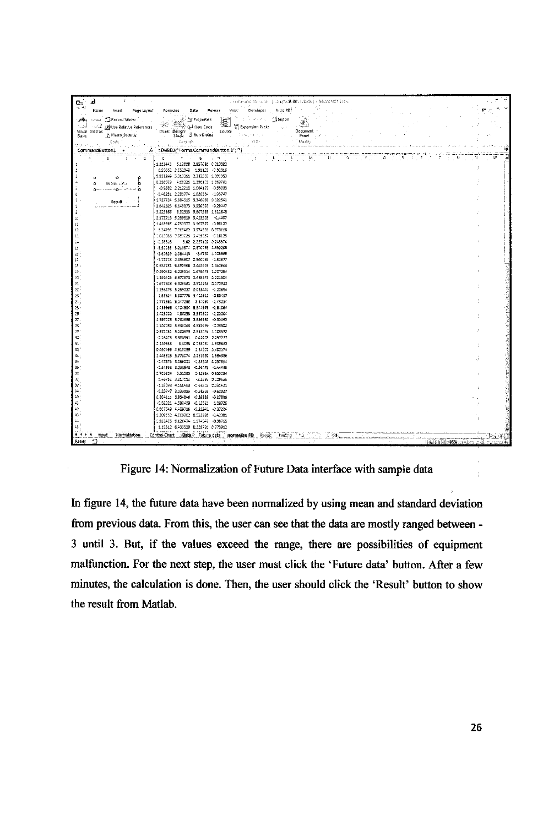| Home Insert Page Layout Formulas Data Peveur View: Developer Ritto-PDF<br>76. MJ<br>$\begin{picture}(150,10) \put(0,0){\vector(1,0){180}} \put(0,0){\vector(1,0){180}} \put(0,0){\vector(1,0){180}} \put(0,0){\vector(1,0){180}} \put(0,0){\vector(1,0){180}} \put(0,0){\vector(1,0){180}} \put(0,0){\vector(1,0){180}} \put(0,0){\vector(1,0){180}} \put(0,0){\vector(1,0){180}} \put(0,0){\vector(1,0){180}} \put(0,0){\vector(1,0){180}} \put(0,0){\vector($<br>Sual Marros explore nendule nenerones<br>Document 1<br>. Panel<br>tended construction and state of the contract of the<br>$CommonedButton1 \rightarrow 1$<br>/. =EMBED("Forms.CommandButton.1";"")<br>er en el constante de la companya de la constante de la constante de la constante de la constante de la constante de la constantidad de la constantidad de la constantidad de la constantidad de la constantidad de la constan<br>100mm - Banda - Control Di<br>1.202443 5.12008 2.857091 0.010882<br>0.50662 3.652048 1.91123 0.52816<br>0.833249 5.313111 1.282555 1.806953<br>$\alpha$<br>٥<br>$\Omega$<br>0.288079 4.69226 1.396105 1.869701<br><b>Europe City</b><br>$\circ$<br>$\circ$<br>  -0,9592 2,212218 1.064197 -0.58033<br>$0 - 1 - 0 - 2 - 0$<br>-0.46251 2.283774 1.080364 -1.03747<br>1.727724 5.884315 9.346098 0.122541<br>People (<br>2.842825 6.649873 3.550323 0.29447<br>3,225168 8,02313 3,207555 1,111648<br>2.172713 5.289519 3.413528 -1.4407<br>2D<br>1,418666 4,753377 \$.107597 -0.98122<br>1.14796 7.769402 3.574896 0.970116<br>1.019053 7.080025 8.415957 -0.15125<br>5.62 2.227122 0.243574<br>$-0.28826$<br>-3.50985 3.213574 0.370783 1.692208<br>-2.60329 2.064115 -2.4762 1.003698<br>-1.72712 2.896807 2.840035 -1.82677<br>0.553781 6.490566 2.442623 1.342644<br>0.290452 6.229514 1.675478 1.707254<br>1362405 6,870673 2,485873 0,221504<br>1,677812 6,928481 2,912216 0,170932<br>l 21.<br>22<br>1.156175 5.259227 3:023441 -1.22694<br>23<br>153624 5.307775 3.402612 -0.59457<br>$\mathbf{I}$ 24 $\,$<br>1,771361 5,147283 3,34997 -1,43214<br>$\begin{array}{r} 25 \\ 25 \\ 27 \\ 28 \end{array}$<br>1.436966 A.404904 3.344975 -1.84064<br>1,428002 4,88253 3,887801 -1,02064<br>1.397005 5.782686 3.556952 -0.32462<br>1.107082 5.888048 5.553494 -0.28502<br>$\begin{bmatrix} 13 \\ 23 \\ 30 \\ 31 \end{bmatrix}$<br>2.372561 5.100699 2.533094 3.103592<br>-0.26475 9.988951 0.42409 2.257737<br>0.149533 3.5025 0.093021 1.859642<br>D.490466 4.618089 1.24207 3.402174<br>35<br>35<br>35<br>1.448815 5.778074 3.283692 1.584356<br>-0.47575 BLOBBOOS -1,25346 0.257854<br>-0.84936 3.238943 -0.56475 -1.44485<br>0.705204 5.51085 0.12814 0.856034<br>0.48703 8.817018 -2.2896 0.109656<br>-1.18093 4.1664EB -0.66505 0.751421<br>-0.10747 3.133859 -0.58593 -0.62927<br>0.204111 8.854846 -0.39239 -0.07836<br>-0.02021 4.598409 -0.12511 1.08726<br>42<br>0.867549 A489716 -0.22841 -0.37284<br>$\hat{q}_2^*$<br>1.209552 A669962 0.532895 -1.42391<br>1.512475 6.126474 1.174047 -0.89715<br>45<br>1.19512 6.439539 0.389791 0.773912<br>mout Normalization Control Chart Stata Future data normalize FD Result testing 1991<br>$\mathbf{v}^{\mathrm{eq}}$<br>  病患病  患  085% ハーレース カルンショーズモ |                        |                                                                         |  |
|-----------------------------------------------------------------------------------------------------------------------------------------------------------------------------------------------------------------------------------------------------------------------------------------------------------------------------------------------------------------------------------------------------------------------------------------------------------------------------------------------------------------------------------------------------------------------------------------------------------------------------------------------------------------------------------------------------------------------------------------------------------------------------------------------------------------------------------------------------------------------------------------------------------------------------------------------------------------------------------------------------------------------------------------------------------------------------------------------------------------------------------------------------------------------------------------------------------------------------------------------------------------------------------------------------------------------------------------------------------------------------------------------------------------------------------------------------------------------------------------------------------------------------------------------------------------------------------------------------------------------------------------------------------------------------------------------------------------------------------------------------------------------------------------------------------------------------------------------------------------------------------------------------------------------------------------------------------------------------------------------------------------------------------------------------------------------------------------------------------------------------------------------------------------------------------------------------------------------------------------------------------------------------------------------------------------------------------------------------------------------------------------------------------------------------------------------------------------------------------------------------------------------------------------------------------------------------------------------------------------------------------------------------------------------------------------------------------------------------------------------------------------------------------------------------------------------------------------------------------------------------------------------------------------------------------------------------------------------------------------------------------------------------------------------------------------------------------------------------------------------------------------------------------------------------------------------------------------------------|------------------------|-------------------------------------------------------------------------|--|
|                                                                                                                                                                                                                                                                                                                                                                                                                                                                                                                                                                                                                                                                                                                                                                                                                                                                                                                                                                                                                                                                                                                                                                                                                                                                                                                                                                                                                                                                                                                                                                                                                                                                                                                                                                                                                                                                                                                                                                                                                                                                                                                                                                                                                                                                                                                                                                                                                                                                                                                                                                                                                                                                                                                                                                                                                                                                                                                                                                                                                                                                                                                                                                                                                             | r d                    | - Trailar and this close (closepocifolity Laborate) + NACO24001 \$93.50 |  |
|                                                                                                                                                                                                                                                                                                                                                                                                                                                                                                                                                                                                                                                                                                                                                                                                                                                                                                                                                                                                                                                                                                                                                                                                                                                                                                                                                                                                                                                                                                                                                                                                                                                                                                                                                                                                                                                                                                                                                                                                                                                                                                                                                                                                                                                                                                                                                                                                                                                                                                                                                                                                                                                                                                                                                                                                                                                                                                                                                                                                                                                                                                                                                                                                                             |                        |                                                                         |  |
|                                                                                                                                                                                                                                                                                                                                                                                                                                                                                                                                                                                                                                                                                                                                                                                                                                                                                                                                                                                                                                                                                                                                                                                                                                                                                                                                                                                                                                                                                                                                                                                                                                                                                                                                                                                                                                                                                                                                                                                                                                                                                                                                                                                                                                                                                                                                                                                                                                                                                                                                                                                                                                                                                                                                                                                                                                                                                                                                                                                                                                                                                                                                                                                                                             |                        |                                                                         |  |
|                                                                                                                                                                                                                                                                                                                                                                                                                                                                                                                                                                                                                                                                                                                                                                                                                                                                                                                                                                                                                                                                                                                                                                                                                                                                                                                                                                                                                                                                                                                                                                                                                                                                                                                                                                                                                                                                                                                                                                                                                                                                                                                                                                                                                                                                                                                                                                                                                                                                                                                                                                                                                                                                                                                                                                                                                                                                                                                                                                                                                                                                                                                                                                                                                             |                        |                                                                         |  |
|                                                                                                                                                                                                                                                                                                                                                                                                                                                                                                                                                                                                                                                                                                                                                                                                                                                                                                                                                                                                                                                                                                                                                                                                                                                                                                                                                                                                                                                                                                                                                                                                                                                                                                                                                                                                                                                                                                                                                                                                                                                                                                                                                                                                                                                                                                                                                                                                                                                                                                                                                                                                                                                                                                                                                                                                                                                                                                                                                                                                                                                                                                                                                                                                                             |                        |                                                                         |  |
|                                                                                                                                                                                                                                                                                                                                                                                                                                                                                                                                                                                                                                                                                                                                                                                                                                                                                                                                                                                                                                                                                                                                                                                                                                                                                                                                                                                                                                                                                                                                                                                                                                                                                                                                                                                                                                                                                                                                                                                                                                                                                                                                                                                                                                                                                                                                                                                                                                                                                                                                                                                                                                                                                                                                                                                                                                                                                                                                                                                                                                                                                                                                                                                                                             |                        |                                                                         |  |
|                                                                                                                                                                                                                                                                                                                                                                                                                                                                                                                                                                                                                                                                                                                                                                                                                                                                                                                                                                                                                                                                                                                                                                                                                                                                                                                                                                                                                                                                                                                                                                                                                                                                                                                                                                                                                                                                                                                                                                                                                                                                                                                                                                                                                                                                                                                                                                                                                                                                                                                                                                                                                                                                                                                                                                                                                                                                                                                                                                                                                                                                                                                                                                                                                             |                        |                                                                         |  |
|                                                                                                                                                                                                                                                                                                                                                                                                                                                                                                                                                                                                                                                                                                                                                                                                                                                                                                                                                                                                                                                                                                                                                                                                                                                                                                                                                                                                                                                                                                                                                                                                                                                                                                                                                                                                                                                                                                                                                                                                                                                                                                                                                                                                                                                                                                                                                                                                                                                                                                                                                                                                                                                                                                                                                                                                                                                                                                                                                                                                                                                                                                                                                                                                                             |                        |                                                                         |  |
|                                                                                                                                                                                                                                                                                                                                                                                                                                                                                                                                                                                                                                                                                                                                                                                                                                                                                                                                                                                                                                                                                                                                                                                                                                                                                                                                                                                                                                                                                                                                                                                                                                                                                                                                                                                                                                                                                                                                                                                                                                                                                                                                                                                                                                                                                                                                                                                                                                                                                                                                                                                                                                                                                                                                                                                                                                                                                                                                                                                                                                                                                                                                                                                                                             |                        |                                                                         |  |
|                                                                                                                                                                                                                                                                                                                                                                                                                                                                                                                                                                                                                                                                                                                                                                                                                                                                                                                                                                                                                                                                                                                                                                                                                                                                                                                                                                                                                                                                                                                                                                                                                                                                                                                                                                                                                                                                                                                                                                                                                                                                                                                                                                                                                                                                                                                                                                                                                                                                                                                                                                                                                                                                                                                                                                                                                                                                                                                                                                                                                                                                                                                                                                                                                             |                        |                                                                         |  |
|                                                                                                                                                                                                                                                                                                                                                                                                                                                                                                                                                                                                                                                                                                                                                                                                                                                                                                                                                                                                                                                                                                                                                                                                                                                                                                                                                                                                                                                                                                                                                                                                                                                                                                                                                                                                                                                                                                                                                                                                                                                                                                                                                                                                                                                                                                                                                                                                                                                                                                                                                                                                                                                                                                                                                                                                                                                                                                                                                                                                                                                                                                                                                                                                                             |                        |                                                                         |  |
|                                                                                                                                                                                                                                                                                                                                                                                                                                                                                                                                                                                                                                                                                                                                                                                                                                                                                                                                                                                                                                                                                                                                                                                                                                                                                                                                                                                                                                                                                                                                                                                                                                                                                                                                                                                                                                                                                                                                                                                                                                                                                                                                                                                                                                                                                                                                                                                                                                                                                                                                                                                                                                                                                                                                                                                                                                                                                                                                                                                                                                                                                                                                                                                                                             |                        |                                                                         |  |
|                                                                                                                                                                                                                                                                                                                                                                                                                                                                                                                                                                                                                                                                                                                                                                                                                                                                                                                                                                                                                                                                                                                                                                                                                                                                                                                                                                                                                                                                                                                                                                                                                                                                                                                                                                                                                                                                                                                                                                                                                                                                                                                                                                                                                                                                                                                                                                                                                                                                                                                                                                                                                                                                                                                                                                                                                                                                                                                                                                                                                                                                                                                                                                                                                             |                        |                                                                         |  |
|                                                                                                                                                                                                                                                                                                                                                                                                                                                                                                                                                                                                                                                                                                                                                                                                                                                                                                                                                                                                                                                                                                                                                                                                                                                                                                                                                                                                                                                                                                                                                                                                                                                                                                                                                                                                                                                                                                                                                                                                                                                                                                                                                                                                                                                                                                                                                                                                                                                                                                                                                                                                                                                                                                                                                                                                                                                                                                                                                                                                                                                                                                                                                                                                                             |                        |                                                                         |  |
|                                                                                                                                                                                                                                                                                                                                                                                                                                                                                                                                                                                                                                                                                                                                                                                                                                                                                                                                                                                                                                                                                                                                                                                                                                                                                                                                                                                                                                                                                                                                                                                                                                                                                                                                                                                                                                                                                                                                                                                                                                                                                                                                                                                                                                                                                                                                                                                                                                                                                                                                                                                                                                                                                                                                                                                                                                                                                                                                                                                                                                                                                                                                                                                                                             |                        |                                                                         |  |
|                                                                                                                                                                                                                                                                                                                                                                                                                                                                                                                                                                                                                                                                                                                                                                                                                                                                                                                                                                                                                                                                                                                                                                                                                                                                                                                                                                                                                                                                                                                                                                                                                                                                                                                                                                                                                                                                                                                                                                                                                                                                                                                                                                                                                                                                                                                                                                                                                                                                                                                                                                                                                                                                                                                                                                                                                                                                                                                                                                                                                                                                                                                                                                                                                             |                        |                                                                         |  |
|                                                                                                                                                                                                                                                                                                                                                                                                                                                                                                                                                                                                                                                                                                                                                                                                                                                                                                                                                                                                                                                                                                                                                                                                                                                                                                                                                                                                                                                                                                                                                                                                                                                                                                                                                                                                                                                                                                                                                                                                                                                                                                                                                                                                                                                                                                                                                                                                                                                                                                                                                                                                                                                                                                                                                                                                                                                                                                                                                                                                                                                                                                                                                                                                                             |                        |                                                                         |  |
|                                                                                                                                                                                                                                                                                                                                                                                                                                                                                                                                                                                                                                                                                                                                                                                                                                                                                                                                                                                                                                                                                                                                                                                                                                                                                                                                                                                                                                                                                                                                                                                                                                                                                                                                                                                                                                                                                                                                                                                                                                                                                                                                                                                                                                                                                                                                                                                                                                                                                                                                                                                                                                                                                                                                                                                                                                                                                                                                                                                                                                                                                                                                                                                                                             |                        |                                                                         |  |
|                                                                                                                                                                                                                                                                                                                                                                                                                                                                                                                                                                                                                                                                                                                                                                                                                                                                                                                                                                                                                                                                                                                                                                                                                                                                                                                                                                                                                                                                                                                                                                                                                                                                                                                                                                                                                                                                                                                                                                                                                                                                                                                                                                                                                                                                                                                                                                                                                                                                                                                                                                                                                                                                                                                                                                                                                                                                                                                                                                                                                                                                                                                                                                                                                             |                        |                                                                         |  |
|                                                                                                                                                                                                                                                                                                                                                                                                                                                                                                                                                                                                                                                                                                                                                                                                                                                                                                                                                                                                                                                                                                                                                                                                                                                                                                                                                                                                                                                                                                                                                                                                                                                                                                                                                                                                                                                                                                                                                                                                                                                                                                                                                                                                                                                                                                                                                                                                                                                                                                                                                                                                                                                                                                                                                                                                                                                                                                                                                                                                                                                                                                                                                                                                                             | 11                     |                                                                         |  |
|                                                                                                                                                                                                                                                                                                                                                                                                                                                                                                                                                                                                                                                                                                                                                                                                                                                                                                                                                                                                                                                                                                                                                                                                                                                                                                                                                                                                                                                                                                                                                                                                                                                                                                                                                                                                                                                                                                                                                                                                                                                                                                                                                                                                                                                                                                                                                                                                                                                                                                                                                                                                                                                                                                                                                                                                                                                                                                                                                                                                                                                                                                                                                                                                                             | 12                     |                                                                         |  |
|                                                                                                                                                                                                                                                                                                                                                                                                                                                                                                                                                                                                                                                                                                                                                                                                                                                                                                                                                                                                                                                                                                                                                                                                                                                                                                                                                                                                                                                                                                                                                                                                                                                                                                                                                                                                                                                                                                                                                                                                                                                                                                                                                                                                                                                                                                                                                                                                                                                                                                                                                                                                                                                                                                                                                                                                                                                                                                                                                                                                                                                                                                                                                                                                                             | 13                     |                                                                         |  |
|                                                                                                                                                                                                                                                                                                                                                                                                                                                                                                                                                                                                                                                                                                                                                                                                                                                                                                                                                                                                                                                                                                                                                                                                                                                                                                                                                                                                                                                                                                                                                                                                                                                                                                                                                                                                                                                                                                                                                                                                                                                                                                                                                                                                                                                                                                                                                                                                                                                                                                                                                                                                                                                                                                                                                                                                                                                                                                                                                                                                                                                                                                                                                                                                                             | $\mathbb{I}\mathbb{I}$ |                                                                         |  |
|                                                                                                                                                                                                                                                                                                                                                                                                                                                                                                                                                                                                                                                                                                                                                                                                                                                                                                                                                                                                                                                                                                                                                                                                                                                                                                                                                                                                                                                                                                                                                                                                                                                                                                                                                                                                                                                                                                                                                                                                                                                                                                                                                                                                                                                                                                                                                                                                                                                                                                                                                                                                                                                                                                                                                                                                                                                                                                                                                                                                                                                                                                                                                                                                                             | 15                     |                                                                         |  |
|                                                                                                                                                                                                                                                                                                                                                                                                                                                                                                                                                                                                                                                                                                                                                                                                                                                                                                                                                                                                                                                                                                                                                                                                                                                                                                                                                                                                                                                                                                                                                                                                                                                                                                                                                                                                                                                                                                                                                                                                                                                                                                                                                                                                                                                                                                                                                                                                                                                                                                                                                                                                                                                                                                                                                                                                                                                                                                                                                                                                                                                                                                                                                                                                                             | $25^{\circ}$           |                                                                         |  |
|                                                                                                                                                                                                                                                                                                                                                                                                                                                                                                                                                                                                                                                                                                                                                                                                                                                                                                                                                                                                                                                                                                                                                                                                                                                                                                                                                                                                                                                                                                                                                                                                                                                                                                                                                                                                                                                                                                                                                                                                                                                                                                                                                                                                                                                                                                                                                                                                                                                                                                                                                                                                                                                                                                                                                                                                                                                                                                                                                                                                                                                                                                                                                                                                                             | 17                     |                                                                         |  |
|                                                                                                                                                                                                                                                                                                                                                                                                                                                                                                                                                                                                                                                                                                                                                                                                                                                                                                                                                                                                                                                                                                                                                                                                                                                                                                                                                                                                                                                                                                                                                                                                                                                                                                                                                                                                                                                                                                                                                                                                                                                                                                                                                                                                                                                                                                                                                                                                                                                                                                                                                                                                                                                                                                                                                                                                                                                                                                                                                                                                                                                                                                                                                                                                                             | 18                     |                                                                         |  |
|                                                                                                                                                                                                                                                                                                                                                                                                                                                                                                                                                                                                                                                                                                                                                                                                                                                                                                                                                                                                                                                                                                                                                                                                                                                                                                                                                                                                                                                                                                                                                                                                                                                                                                                                                                                                                                                                                                                                                                                                                                                                                                                                                                                                                                                                                                                                                                                                                                                                                                                                                                                                                                                                                                                                                                                                                                                                                                                                                                                                                                                                                                                                                                                                                             | 19                     |                                                                         |  |
|                                                                                                                                                                                                                                                                                                                                                                                                                                                                                                                                                                                                                                                                                                                                                                                                                                                                                                                                                                                                                                                                                                                                                                                                                                                                                                                                                                                                                                                                                                                                                                                                                                                                                                                                                                                                                                                                                                                                                                                                                                                                                                                                                                                                                                                                                                                                                                                                                                                                                                                                                                                                                                                                                                                                                                                                                                                                                                                                                                                                                                                                                                                                                                                                                             | 120                    |                                                                         |  |
|                                                                                                                                                                                                                                                                                                                                                                                                                                                                                                                                                                                                                                                                                                                                                                                                                                                                                                                                                                                                                                                                                                                                                                                                                                                                                                                                                                                                                                                                                                                                                                                                                                                                                                                                                                                                                                                                                                                                                                                                                                                                                                                                                                                                                                                                                                                                                                                                                                                                                                                                                                                                                                                                                                                                                                                                                                                                                                                                                                                                                                                                                                                                                                                                                             |                        |                                                                         |  |
|                                                                                                                                                                                                                                                                                                                                                                                                                                                                                                                                                                                                                                                                                                                                                                                                                                                                                                                                                                                                                                                                                                                                                                                                                                                                                                                                                                                                                                                                                                                                                                                                                                                                                                                                                                                                                                                                                                                                                                                                                                                                                                                                                                                                                                                                                                                                                                                                                                                                                                                                                                                                                                                                                                                                                                                                                                                                                                                                                                                                                                                                                                                                                                                                                             |                        |                                                                         |  |
|                                                                                                                                                                                                                                                                                                                                                                                                                                                                                                                                                                                                                                                                                                                                                                                                                                                                                                                                                                                                                                                                                                                                                                                                                                                                                                                                                                                                                                                                                                                                                                                                                                                                                                                                                                                                                                                                                                                                                                                                                                                                                                                                                                                                                                                                                                                                                                                                                                                                                                                                                                                                                                                                                                                                                                                                                                                                                                                                                                                                                                                                                                                                                                                                                             |                        |                                                                         |  |
|                                                                                                                                                                                                                                                                                                                                                                                                                                                                                                                                                                                                                                                                                                                                                                                                                                                                                                                                                                                                                                                                                                                                                                                                                                                                                                                                                                                                                                                                                                                                                                                                                                                                                                                                                                                                                                                                                                                                                                                                                                                                                                                                                                                                                                                                                                                                                                                                                                                                                                                                                                                                                                                                                                                                                                                                                                                                                                                                                                                                                                                                                                                                                                                                                             |                        |                                                                         |  |
|                                                                                                                                                                                                                                                                                                                                                                                                                                                                                                                                                                                                                                                                                                                                                                                                                                                                                                                                                                                                                                                                                                                                                                                                                                                                                                                                                                                                                                                                                                                                                                                                                                                                                                                                                                                                                                                                                                                                                                                                                                                                                                                                                                                                                                                                                                                                                                                                                                                                                                                                                                                                                                                                                                                                                                                                                                                                                                                                                                                                                                                                                                                                                                                                                             |                        |                                                                         |  |
|                                                                                                                                                                                                                                                                                                                                                                                                                                                                                                                                                                                                                                                                                                                                                                                                                                                                                                                                                                                                                                                                                                                                                                                                                                                                                                                                                                                                                                                                                                                                                                                                                                                                                                                                                                                                                                                                                                                                                                                                                                                                                                                                                                                                                                                                                                                                                                                                                                                                                                                                                                                                                                                                                                                                                                                                                                                                                                                                                                                                                                                                                                                                                                                                                             |                        |                                                                         |  |
|                                                                                                                                                                                                                                                                                                                                                                                                                                                                                                                                                                                                                                                                                                                                                                                                                                                                                                                                                                                                                                                                                                                                                                                                                                                                                                                                                                                                                                                                                                                                                                                                                                                                                                                                                                                                                                                                                                                                                                                                                                                                                                                                                                                                                                                                                                                                                                                                                                                                                                                                                                                                                                                                                                                                                                                                                                                                                                                                                                                                                                                                                                                                                                                                                             |                        |                                                                         |  |
|                                                                                                                                                                                                                                                                                                                                                                                                                                                                                                                                                                                                                                                                                                                                                                                                                                                                                                                                                                                                                                                                                                                                                                                                                                                                                                                                                                                                                                                                                                                                                                                                                                                                                                                                                                                                                                                                                                                                                                                                                                                                                                                                                                                                                                                                                                                                                                                                                                                                                                                                                                                                                                                                                                                                                                                                                                                                                                                                                                                                                                                                                                                                                                                                                             |                        |                                                                         |  |
|                                                                                                                                                                                                                                                                                                                                                                                                                                                                                                                                                                                                                                                                                                                                                                                                                                                                                                                                                                                                                                                                                                                                                                                                                                                                                                                                                                                                                                                                                                                                                                                                                                                                                                                                                                                                                                                                                                                                                                                                                                                                                                                                                                                                                                                                                                                                                                                                                                                                                                                                                                                                                                                                                                                                                                                                                                                                                                                                                                                                                                                                                                                                                                                                                             |                        |                                                                         |  |
|                                                                                                                                                                                                                                                                                                                                                                                                                                                                                                                                                                                                                                                                                                                                                                                                                                                                                                                                                                                                                                                                                                                                                                                                                                                                                                                                                                                                                                                                                                                                                                                                                                                                                                                                                                                                                                                                                                                                                                                                                                                                                                                                                                                                                                                                                                                                                                                                                                                                                                                                                                                                                                                                                                                                                                                                                                                                                                                                                                                                                                                                                                                                                                                                                             |                        |                                                                         |  |
|                                                                                                                                                                                                                                                                                                                                                                                                                                                                                                                                                                                                                                                                                                                                                                                                                                                                                                                                                                                                                                                                                                                                                                                                                                                                                                                                                                                                                                                                                                                                                                                                                                                                                                                                                                                                                                                                                                                                                                                                                                                                                                                                                                                                                                                                                                                                                                                                                                                                                                                                                                                                                                                                                                                                                                                                                                                                                                                                                                                                                                                                                                                                                                                                                             | $\frac{1}{32}$         |                                                                         |  |
|                                                                                                                                                                                                                                                                                                                                                                                                                                                                                                                                                                                                                                                                                                                                                                                                                                                                                                                                                                                                                                                                                                                                                                                                                                                                                                                                                                                                                                                                                                                                                                                                                                                                                                                                                                                                                                                                                                                                                                                                                                                                                                                                                                                                                                                                                                                                                                                                                                                                                                                                                                                                                                                                                                                                                                                                                                                                                                                                                                                                                                                                                                                                                                                                                             |                        |                                                                         |  |
|                                                                                                                                                                                                                                                                                                                                                                                                                                                                                                                                                                                                                                                                                                                                                                                                                                                                                                                                                                                                                                                                                                                                                                                                                                                                                                                                                                                                                                                                                                                                                                                                                                                                                                                                                                                                                                                                                                                                                                                                                                                                                                                                                                                                                                                                                                                                                                                                                                                                                                                                                                                                                                                                                                                                                                                                                                                                                                                                                                                                                                                                                                                                                                                                                             |                        |                                                                         |  |
|                                                                                                                                                                                                                                                                                                                                                                                                                                                                                                                                                                                                                                                                                                                                                                                                                                                                                                                                                                                                                                                                                                                                                                                                                                                                                                                                                                                                                                                                                                                                                                                                                                                                                                                                                                                                                                                                                                                                                                                                                                                                                                                                                                                                                                                                                                                                                                                                                                                                                                                                                                                                                                                                                                                                                                                                                                                                                                                                                                                                                                                                                                                                                                                                                             |                        |                                                                         |  |
|                                                                                                                                                                                                                                                                                                                                                                                                                                                                                                                                                                                                                                                                                                                                                                                                                                                                                                                                                                                                                                                                                                                                                                                                                                                                                                                                                                                                                                                                                                                                                                                                                                                                                                                                                                                                                                                                                                                                                                                                                                                                                                                                                                                                                                                                                                                                                                                                                                                                                                                                                                                                                                                                                                                                                                                                                                                                                                                                                                                                                                                                                                                                                                                                                             | 35                     |                                                                         |  |
|                                                                                                                                                                                                                                                                                                                                                                                                                                                                                                                                                                                                                                                                                                                                                                                                                                                                                                                                                                                                                                                                                                                                                                                                                                                                                                                                                                                                                                                                                                                                                                                                                                                                                                                                                                                                                                                                                                                                                                                                                                                                                                                                                                                                                                                                                                                                                                                                                                                                                                                                                                                                                                                                                                                                                                                                                                                                                                                                                                                                                                                                                                                                                                                                                             | 37                     |                                                                         |  |
|                                                                                                                                                                                                                                                                                                                                                                                                                                                                                                                                                                                                                                                                                                                                                                                                                                                                                                                                                                                                                                                                                                                                                                                                                                                                                                                                                                                                                                                                                                                                                                                                                                                                                                                                                                                                                                                                                                                                                                                                                                                                                                                                                                                                                                                                                                                                                                                                                                                                                                                                                                                                                                                                                                                                                                                                                                                                                                                                                                                                                                                                                                                                                                                                                             | 33                     |                                                                         |  |
|                                                                                                                                                                                                                                                                                                                                                                                                                                                                                                                                                                                                                                                                                                                                                                                                                                                                                                                                                                                                                                                                                                                                                                                                                                                                                                                                                                                                                                                                                                                                                                                                                                                                                                                                                                                                                                                                                                                                                                                                                                                                                                                                                                                                                                                                                                                                                                                                                                                                                                                                                                                                                                                                                                                                                                                                                                                                                                                                                                                                                                                                                                                                                                                                                             | i se                   |                                                                         |  |
|                                                                                                                                                                                                                                                                                                                                                                                                                                                                                                                                                                                                                                                                                                                                                                                                                                                                                                                                                                                                                                                                                                                                                                                                                                                                                                                                                                                                                                                                                                                                                                                                                                                                                                                                                                                                                                                                                                                                                                                                                                                                                                                                                                                                                                                                                                                                                                                                                                                                                                                                                                                                                                                                                                                                                                                                                                                                                                                                                                                                                                                                                                                                                                                                                             | i ab                   |                                                                         |  |
|                                                                                                                                                                                                                                                                                                                                                                                                                                                                                                                                                                                                                                                                                                                                                                                                                                                                                                                                                                                                                                                                                                                                                                                                                                                                                                                                                                                                                                                                                                                                                                                                                                                                                                                                                                                                                                                                                                                                                                                                                                                                                                                                                                                                                                                                                                                                                                                                                                                                                                                                                                                                                                                                                                                                                                                                                                                                                                                                                                                                                                                                                                                                                                                                                             | $\mathcal{L}_2$        |                                                                         |  |
|                                                                                                                                                                                                                                                                                                                                                                                                                                                                                                                                                                                                                                                                                                                                                                                                                                                                                                                                                                                                                                                                                                                                                                                                                                                                                                                                                                                                                                                                                                                                                                                                                                                                                                                                                                                                                                                                                                                                                                                                                                                                                                                                                                                                                                                                                                                                                                                                                                                                                                                                                                                                                                                                                                                                                                                                                                                                                                                                                                                                                                                                                                                                                                                                                             |                        |                                                                         |  |
|                                                                                                                                                                                                                                                                                                                                                                                                                                                                                                                                                                                                                                                                                                                                                                                                                                                                                                                                                                                                                                                                                                                                                                                                                                                                                                                                                                                                                                                                                                                                                                                                                                                                                                                                                                                                                                                                                                                                                                                                                                                                                                                                                                                                                                                                                                                                                                                                                                                                                                                                                                                                                                                                                                                                                                                                                                                                                                                                                                                                                                                                                                                                                                                                                             |                        |                                                                         |  |
|                                                                                                                                                                                                                                                                                                                                                                                                                                                                                                                                                                                                                                                                                                                                                                                                                                                                                                                                                                                                                                                                                                                                                                                                                                                                                                                                                                                                                                                                                                                                                                                                                                                                                                                                                                                                                                                                                                                                                                                                                                                                                                                                                                                                                                                                                                                                                                                                                                                                                                                                                                                                                                                                                                                                                                                                                                                                                                                                                                                                                                                                                                                                                                                                                             |                        |                                                                         |  |
|                                                                                                                                                                                                                                                                                                                                                                                                                                                                                                                                                                                                                                                                                                                                                                                                                                                                                                                                                                                                                                                                                                                                                                                                                                                                                                                                                                                                                                                                                                                                                                                                                                                                                                                                                                                                                                                                                                                                                                                                                                                                                                                                                                                                                                                                                                                                                                                                                                                                                                                                                                                                                                                                                                                                                                                                                                                                                                                                                                                                                                                                                                                                                                                                                             |                        |                                                                         |  |
|                                                                                                                                                                                                                                                                                                                                                                                                                                                                                                                                                                                                                                                                                                                                                                                                                                                                                                                                                                                                                                                                                                                                                                                                                                                                                                                                                                                                                                                                                                                                                                                                                                                                                                                                                                                                                                                                                                                                                                                                                                                                                                                                                                                                                                                                                                                                                                                                                                                                                                                                                                                                                                                                                                                                                                                                                                                                                                                                                                                                                                                                                                                                                                                                                             | $16.4 \pm 14$          |                                                                         |  |
|                                                                                                                                                                                                                                                                                                                                                                                                                                                                                                                                                                                                                                                                                                                                                                                                                                                                                                                                                                                                                                                                                                                                                                                                                                                                                                                                                                                                                                                                                                                                                                                                                                                                                                                                                                                                                                                                                                                                                                                                                                                                                                                                                                                                                                                                                                                                                                                                                                                                                                                                                                                                                                                                                                                                                                                                                                                                                                                                                                                                                                                                                                                                                                                                                             | Ready                  |                                                                         |  |

Figure 14: Normalization of Future Data interface with sample data

In figure 14, the future data have been normalized by using mean and standard deviation from previous data. From this, the user can see that the data are mostly ranged between -3 until 3. But, if the values exceed the range, there are possibilities of equipment malfunction. For the next step, the user must click the 'Future data' button. After a few minutes, the calculation is done. Then, the user should click the 'Result' button to show the result from Matlab.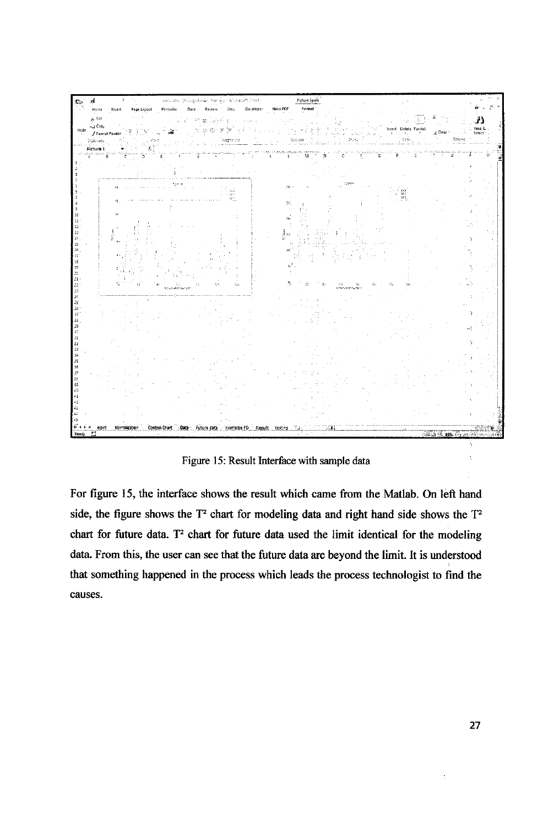

Figure 15: Result Interface with sample data

For figure 15, the interface shows the result which came from the Matlab. On left hand side, the figure shows the T<sup>2</sup> chart for modeling data and right hand side shows the T<sup>2</sup> chart for future data. T<sup>2</sup> chart for future data used the limit identical for the modeling data. From this, the user can see that the future data are beyond the limit. It is understood that something happened in the process which leads the process technologist to find the causes.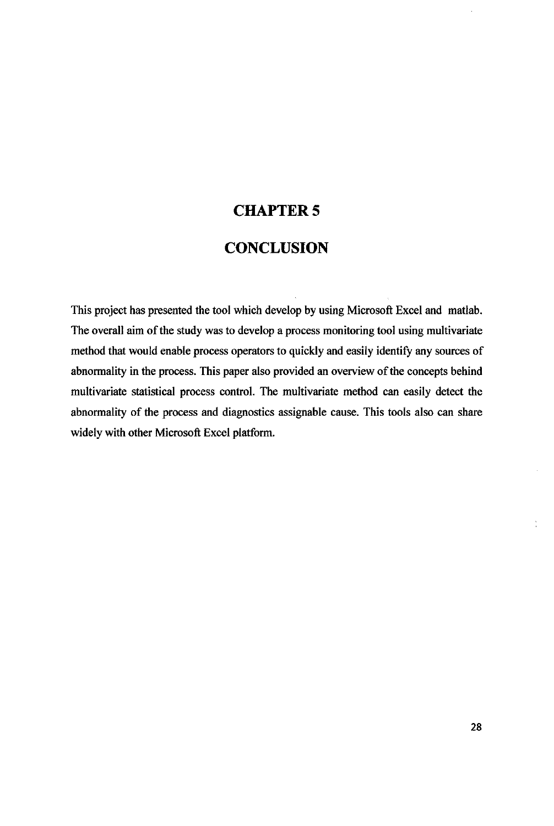# CHAPTER 5

# **CONCLUSION**

This project has presented the tool which develop by using Microsoft Excel and matlab. The overall aim of the study was to develop a process monitoring tool using multivariate method that would enable process operators to quickly and easily identify any sources of abnormality in the process. This paper also provided an overview of the concepts behind multivariate statistical process control. The multivariate method can easily detect the abnormality of the process and diagnostics assignable cause. This tools also can share widely with other Microsoft Excel platform.

÷.